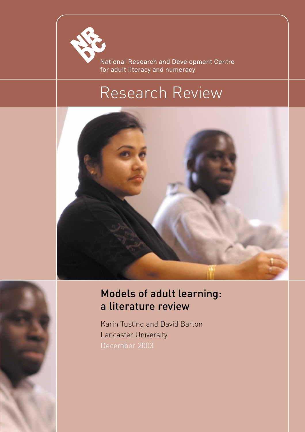

National Research and Development Centre for adult literacy and numeracy

## Research Review



### Models of adult learning: a literature review

Karin Tusting and David Barton Lancaster University December 2003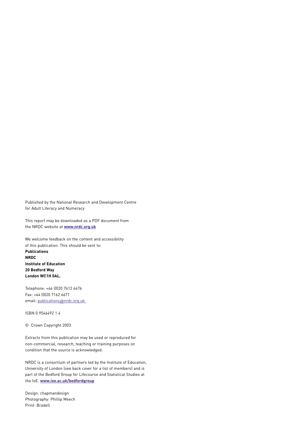Published by the National Research and Development Centre for Adult Literacy and Numeracy

This report may be downloaded as a PDF document from the NRDC website at **www.nrdc.org.uk**

We welcome feedback on the content and accessibility of this publication. This should be sent to: **Publications NRDC Institute of Education 20 Bedford Way London WC1H 0AL.**

Telephone: +44 (0)20 7612 6476 Fax: +44 (0)20 7162 6671 email: publications@nrdc.org.uk

ISBN 0 9546492 1 4

© Crown Copyright 2003

Extracts from this publication may be used or reproduced for non-commercial, research, teaching or training purposes on condition that the source is acknowledged.

NRDC is a consortium of partners led by the Institute of Education, University of London (see back cover for a list of members) and is part of the Bedford Group for Lifecourse and Statistical Studies at the IoE. **www.ioe.ac.uk/bedfordgroup**

Design: chapmandesign Photography: Phillip Meech Print: Bradell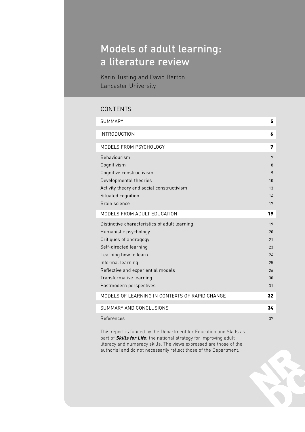### Models of adult learning: a literature review

Karin Tusting and David Barton Lancaster University

### **CONTENTS**

| <b>SUMMARY</b>                                                                                                                                                                                                                                                                                                         | 5                                                        |
|------------------------------------------------------------------------------------------------------------------------------------------------------------------------------------------------------------------------------------------------------------------------------------------------------------------------|----------------------------------------------------------|
| <b>INTRODUCTION</b>                                                                                                                                                                                                                                                                                                    | 6                                                        |
| MODELS FROM PSYCHOLOGY                                                                                                                                                                                                                                                                                                 | 7                                                        |
| Behaviourism<br>Cognitivism<br>Cognitive constructivism<br>Developmental theories<br>Activity theory and social constructivism<br>Situated cognition<br>Brain science                                                                                                                                                  | 7<br>8<br>9<br>10<br>13<br>14<br>17                      |
| MODELS FROM ADULT EDUCATION                                                                                                                                                                                                                                                                                            | 19                                                       |
| Distinctive characteristics of adult learning<br>Humanistic psychology<br>Critiques of andragogy<br>Self-directed learning<br>Learning how to learn<br>Informal learning<br>Reflective and experiential models<br>Transformative learning<br>Postmodern perspectives<br>MODELS OF LEARNING IN CONTEXTS OF RAPID CHANGE | 19<br>20<br>21<br>23<br>24<br>25<br>26<br>30<br>31<br>32 |
| SUMMARY AND CONCLUSIONS                                                                                                                                                                                                                                                                                                | 34                                                       |
| References                                                                                                                                                                                                                                                                                                             | 37                                                       |

This report is funded by the Department for Education and Skills as part of **Skills for Life**: the national strategy for improving adult literacy and numeracy skills. The views expressed are those of the author(s) and do not necessarily reflect those of the Department.

X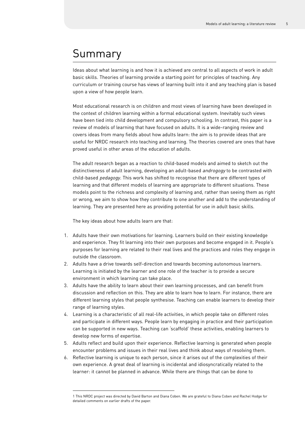## Summary

Ideas about what learning is and how it is achieved are central to all aspects of work in adult basic skills. Theories of learning provide a starting point for principles of teaching. Any curriculum or training course has views of learning built into it and any teaching plan is based upon a view of how people learn.

Most educational research is on children and most views of learning have been developed in the context of children learning within a formal educational system. Inevitably such views have been tied into child development and compulsory schooling. In contrast, this paper is a review of models of learning that have focused on adults. It is a wide-ranging review and covers ideas from many fields about how adults learn: the aim is to provide ideas that are useful for NRDC research into teaching and learning. The theories covered are ones that have proved useful in other areas of the education of adults.

The adult research began as a reaction to child-based models and aimed to sketch out the distinctiveness of adult learning, developing an adult-based *androgogy* to be contrasted with child-based pedagogy. This work has shifted to recognise that there are different types of learning and that different models of learning are appropriate to different situations. These models point to the richness and complexity of learning and, rather than seeing them as right or wrong, we aim to show how they contribute to one another and add to the understanding of learning. They are presented here as providing potential for use in adult basic skills.

The key ideas about how adults learn are that:

- 1. Adults have their own motivations for learning. Learners build on their existing knowledge and experience. They fit learning into their own purposes and become engaged in it. People's purposes for learning are related to their real lives and the practices and roles they engage in outside the classroom.
- 2. Adults have a drive towards self-direction and towards becoming autonomous learners. Learning is initiated by the learner and one role of the teacher is to provide a secure environment in which learning can take place.
- 3. Adults have the ability to learn about their own learning processes, and can benefit from discussion and reflection on this. They are able to learn how to learn. For instance, there are different learning styles that people synthesise. Teaching can enable learners to develop their range of learning styles.
- 4. Learning is a characteristic of all real-life activities, in which people take on different roles and participate in different ways. People learn by engaging in practice and their participation can be supported in new ways. Teaching can 'scaffold' these activities, enabling learners to develop new forms of expertise.
- 5. Adults reflect and build upon their experience. Reflective learning is generated when people encounter problems and issues in their real lives and think about ways of resolving them.
- 6. Reflective learning is unique to each person, since it arises out of the complexities of their own experience. A great deal of learning is incidental and idiosyncratically related to the learner: it cannot be planned in advance. While there are things that can be done to

<sup>1</sup> This NRDC project was directed by David Barton and Diana Coben. We are grateful to Diana Coben and Rachel Hodge for detailed comments on earlier drafts of the paper.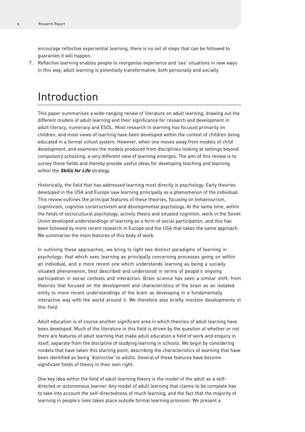encourage reflective experiential learning, there is no set of steps that can be followed to guarantee it will happen.

7. Reflective learning enables people to reorganise experience and 'see' situations in new ways. In this way, adult learning is potentially transformative, both personally and socially.

### Introduction

This paper summarises a wide-ranging review of literature on adult learning, drawing out the different models of adult learning and their significance for research and development in adult literacy, numeracy and ESOL. Most research in learning has focused primarily on children, and most views of learning have been developed within the context of children being educated in a formal school system. However, when one moves away from models of child development, and examines the models produced from disciplines looking at settings beyond compulsory schooling, a very different view of learning emerges. The aim of this review is to survey these fields and thereby provide useful ideas for developing teaching and learning within the **Skills for Life** strategy.

Historically, the field that has addressed learning most directly is psychology. Early theories developed in the USA and Europe saw learning principally as a phenomenon of the individual. This review outlines the principal features of these theories, focusing on behaviourism, cognitivism, cognitive constructivism and developmental psychology. At the same time, within the fields of sociocultural psychology, activity theory and situated cognition, work in the Soviet Union developed understandings of learning as a form of social participation, and this has been followed by more recent research in Europe and the USA that takes the same approach. We summarise the main features of this body of work.

In outlining these approaches, we bring to light two distinct paradigms of learning in psychology: that which sees learning as principally concerning processes going on within an individual, and a more recent one which understands learning as being a socially situated phenomenon, best described and understood in terms of people's ongoing participation in social contexts and interaction. Brain science has seen a similar shift: from theories that focused on the development and characteristics of the brain as an isolated entity to more recent understandings of the brain as developing in a fundamentally interactive way with the world around it. We therefore also briefly mention developments in this field.

Adult education is of course another significant area in which theories of adult learning have been developed. Much of the literature in this field is driven by the question of whether or not there are features of adult learning that make adult education a field of work and enquiry in itself, separate from the discipline of studying learning in schools. We begin by considering models that have taken this starting point, describing the characteristics of learning that have been identified as being 'distinctive' to adults. Several of these features have become significant fields of theory in their own right.

One key idea within the field of adult learning theory is the model of the adult as a selfdirected or autonomous learner. Any model of adult learning that claims to be complete has to take into account the self-directedness of much learning, and the fact that the majority of learning in people's lives takes place outside formal learning provision. We present a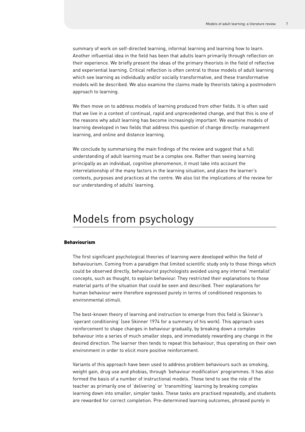summary of work on self-directed learning, informal learning and learning how to learn. Another influential idea in the field has been that adults learn primarily through reflection on their experience. We briefly present the ideas of the primary theorists in the field of reflective and experiential learning. Critical reflection is often central to those models of adult learning which see learning as individually and/or socially transformative, and these transformative models will be described. We also examine the claims made by theorists taking a postmodern approach to learning.

We then move on to address models of learning produced from other fields. It is often said that we live in a context of continual, rapid and unprecedented change, and that this is one of the reasons why adult learning has become increasingly important. We examine models of learning developed in two fields that address this question of change directly: management learning, and online and distance learning.

We conclude by summarising the main findings of the review and suggest that a full understanding of adult learning must be a complex one. Rather than seeing learning principally as an individual, cognitive phenomenon, it must take into account the interrelationship of the many factors in the learning situation, and place the learner's contexts, purposes and practices at the centre. We also list the implications of the review for our understanding of adults' learning.

### Models from psychology

#### Behaviourism

The first significant psychological theories of learning were developed within the field of behaviourism. Coming from a paradigm that limited scientific study only to those things which could be observed directly, behaviourist psychologists avoided using any internal 'mentalist' concepts, such as thought, to explain behaviour. They restricted their explanations to those material parts of the situation that could be seen and described. Their explanations for human behaviour were therefore expressed purely in terms of conditioned responses to environmental stimuli.

The best-known theory of learning and instruction to emerge from this field is Skinner's 'operant conditioning' (see Skinner 1974 for a summary of his work). This approach uses reinforcement to shape changes in behaviour gradually, by breaking down a complex behaviour into a series of much smaller steps, and immediately rewarding any change in the desired direction. The learner then tends to repeat this behaviour, thus operating on their own environment in order to elicit more positive reinforcement.

Variants of this approach have been used to address problem behaviours such as smoking, weight gain, drug use and phobias, through 'behaviour modification' programmes. It has also formed the basis of a number of instructional models. These tend to see the role of the teacher as primarily one of 'delivering' or 'transmitting' learning by breaking complex learning down into smaller, simpler tasks. These tasks are practised repeatedly, and students are rewarded for correct completion. Pre-determined learning outcomes, phrased purely in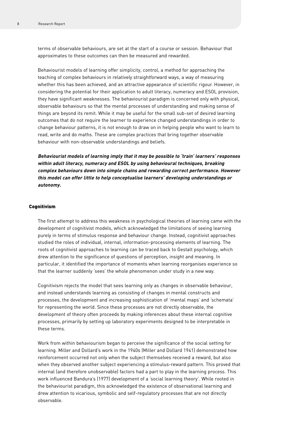terms of observable behaviours, are set at the start of a course or session. Behaviour that approximates to these outcomes can then be measured and rewarded.

Behaviourist models of learning offer simplicity, control, a method for approaching the teaching of complex behaviours in relatively straightforward ways, a way of measuring whether this has been achieved, and an attractive appearance of scientific rigour. However, in considering the potential for their application to adult literacy, numeracy and ESOL provision, they have significant weaknesses. The behaviourist paradigm is concerned only with physical, observable behaviours so that the mental processes of understanding and making sense of things are beyond its remit. While it may be useful for the small sub-set of desired learning outcomes that do not require the learner to experience changed understandings in order to change behaviour patterns, it is not enough to draw on in helping people who want to learn to read, write and do maths. These are complex practices that bring together observable behaviour with non-observable understandings and beliefs.

**Behaviourist models of learning imply that it may be possible to 'train' learners' responses within adult literacy, numeracy and ESOL by using behavioural techniques, breaking complex behaviours down into simple chains and rewarding correct performance. However this model can offer little to help conceptualise learners' developing understandings or autonomy.**

#### **Cognitivism**

The first attempt to address this weakness in psychological theories of learning came with the development of cognitivist models, which acknowledged the limitations of seeing learning purely in terms of stimulus response and behaviour change. Instead, cognitivist approaches studied the roles of individual, internal, information-processing elements of learning. The roots of cognitivist approaches to learning can be traced back to Gestalt psychology, which drew attention to the significance of questions of perception, insight and meaning. In particular, it identified the importance of moments when learning reorganises experience so that the learner suddenly 'sees' the whole phenomenon under study in a new way.

Cognitivism rejects the model that sees learning only as changes in observable behaviour, and instead understands learning as consisting of changes in mental constructs and processes, the development and increasing sophistication of 'mental maps' and 'schemata' for representing the world. Since these processes are not directly observable, the development of theory often proceeds by making inferences about these internal cognitive processes, primarily by setting up laboratory experiments designed to be interpretable in these terms.

Work from within behaviourism began to perceive the significance of the social setting for learning. Miller and Dollard's work in the 1940s (Miller and Dollard 1941) demonstrated how reinforcement occurred not only when the subject themselves received a reward, but also when they observed another subject experiencing a stimulus-reward pattern. This proved that internal (and therefore unobservable) factors had a part to play in the learning process. This work influenced Bandura's (1977) development of a 'social learning theory'. While rooted in the behaviourist paradigm, this acknowledged the existence of observational learning and drew attention to vicarious, symbolic and self-regulatory processes that are not directly observable.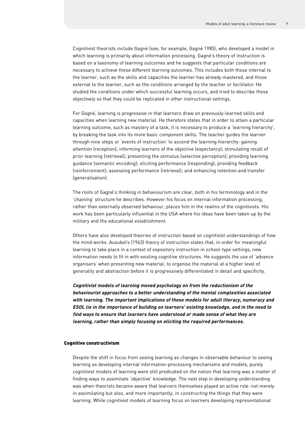Cognitivist theorists include Gagné (see, for example, Gagné 1985), who developed a model in which learning is primarily about information processing. Gagné's theory of instruction is based on a taxonomy of learning outcomes and he suggests that particular conditions are necessary to achieve these different learning outcomes. This includes both those internal to the learner, such as the skills and capacities the learner has already mastered, and those external to the learner, such as the conditions arranged by the teacher or facilitator. He studied the conditions under which successful learning occurs, and tried to describe these objectively so that they could be replicated in other instructional settings.

For Gagné, learning is progressive in that learners draw on previously-learned skills and capacities when learning new material. He therefore states that in order to attain a particular learning outcome, such as mastery of a task, it is necessary to produce a 'learning hierarchy', by breaking the task into its more basic component skills. The teacher guides the learner through nine steps or 'events of instruction' to ascend the learning hierarchy: gaining attention (reception); informing learners of the objective (expectancy); stimulating recall of prior learning (retrieval); presenting the stimulus (selective perception); providing learning guidance (semantic encoding); eliciting performance (responding); providing feedback (reinforcement); assessing performance (retrieval); and enhancing retention and transfer (generalisation).

The roots of Gagné's thinking in behaviourism are clear, both in his terminology and in the 'chaining' structure he describes. However his focus on internal information processing, rather than externally observed behaviour, places him in the realms of the cognitivists. His work has been particularly influential in the USA where his ideas have been taken up by the military and the educational establishment.

Others have also developed theories of instruction based on cognitivist understandings of how the mind works. Ausubel's (1963) theory of instruction states that, in order for meaningful learning to take place in a context of expository instruction in school-type settings, new information needs to fit in with existing cognitive structures. He suggests the use of 'advance organisers' when presenting new material, to organise the material at a higher level of generality and abstraction before it is progressively differentiated in detail and specificity.

**Cognitivist models of learning moved psychology on from the reductionism of the behaviourist approaches to a better understanding of the mental complexities associated with learning. The important implications of these models for adult literacy, numeracy and ESOL lie in the importance of building on learners' existing knowledge, and in the need to find ways to ensure that learners have understood or made sense of what they are learning, rather than simply focusing on eliciting the required performances.**

#### Cognitive constructivism

Despite the shift in focus from seeing learning as changes in observable behaviour to seeing learning as developing internal information-processing mechanisms and models, purely cognitivist models of learning were still predicated on the notion that learning was a matter of finding ways to assimilate 'objective' knowledge. The next step in developing understanding was when theorists became aware that learners themselves played an active role: not merely in assimilating but also, and more importantly, in *constructing* the things that they were learning. While cognitivist models of learning focus on learners developing representational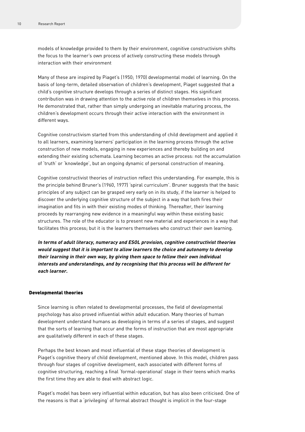models of knowledge provided to them by their environment, cognitive constructivism shifts the focus to the learner's own process of actively constructing these models through interaction with their environment

Many of these are inspired by Piaget's (1950; 1970) developmental model of learning. On the basis of long-term, detailed observation of children's development, Piaget suggested that a child's cognitive structure develops through a series of distinct stages. His significant contribution was in drawing attention to the active role of children themselves in this process. He demonstrated that, rather than simply undergoing an inevitable maturing process, the children's development occurs through their active interaction with the environment in different ways.

Cognitive constructivism started from this understanding of child development and applied it to all learners, examining learners' participation in the learning process through the active construction of new models, engaging in new experiences and thereby building on and extending their existing schemata. Learning becomes an active process: not the accumulation of 'truth' or 'knowledge', but an ongoing dynamic of personal construction of meaning.

Cognitive constructivist theories of instruction reflect this understanding. For example, this is the principle behind Bruner's (1960, 1977) 'spiral curriculum'. Bruner suggests that the basic principles of any subject can be grasped very early on in its study, if the learner is helped to discover the underlying cognitive structure of the subject in a way that both fires their imagination and fits in with their existing modes of thinking. Thereafter, their learning proceeds by rearranging new evidence in a meaningful way within these existing basic structures. The role of the educator is to present new material and experiences in a way that facilitates this process; but it is the learners themselves who construct their own learning.

**In terms of adult literacy, numeracy and ESOL provision, cognitive constructivist theories would suggest that it is important to allow learners the choice and autonomy to develop their learning in their own way, by giving them space to follow their own individual interests and understandings, and by recognising that this process will be different for each learner.**

#### Developmental theories

Since learning is often related to developmental processes, the field of developmental psychology has also proved influential within adult education. Many theories of human development understand humans as developing in terms of a series of stages, and suggest that the sorts of learning that occur and the forms of instruction that are most appropriate are qualitatively different in each of these stages.

Perhaps the best known and most influential of these stage theories of development is Piaget's cognitive theory of child development, mentioned above. In this model, children pass through four stages of cognitive development, each associated with different forms of cognitive structuring, reaching a final 'formal-operational' stage in their teens which marks the first time they are able to deal with abstract logic.

Piaget's model has been very influential within education, but has also been criticised. One of the reasons is that a 'privileging' of formal abstract thought is implicit in the four-stage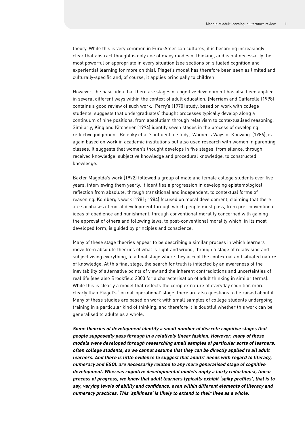theory. While this is very common in Euro-American cultures, it is becoming increasingly clear that abstract thought is only one of many modes of thinking, and is not necessarily the most powerful or appropriate in every situation (see sections on situated cognition and experiential learning for more on this). Piaget's model has therefore been seen as limited and culturally-specific and, of course, it applies principally to children.

However, the basic idea that there are stages of cognitive development has also been applied in several different ways within the context of adult education. (Merriam and Caffarella (1998) contains a good review of such work.) Perry's (1970) study, based on work with college students, suggests that undergraduates' thought processes typically develop along a continuum of nine positions, from absolutism through relativism to contextualised reasoning. Similarly, King and Kitchener (1994) identify seven stages in the process of developing reflective judgement. Belenky et al.'s influential study, 'Women's Ways of Knowing' (1986), is again based on work in academic institutions but also used research with women in parenting classes. It suggests that women's thought develops in five stages, from silence, through received knowledge, subjective knowledge and procedural knowledge, to constructed knowledge.

Baxter Magolda's work (1992) followed a group of male and female college students over five years, interviewing them yearly. It identifies a progression in developing epistemological reflection from absolute, through transitional and independent, to contextual forms of reasoning. Kohlberg's work (1981; 1984) focused on moral development, claiming that there are six phases of moral development through which people must pass, from pre-conventional ideas of obedience and punishment, through conventional morality concerned with gaining the approval of others and following laws, to post-conventional morality which, in its most developed form, is guided by principles and conscience.

Many of these stage theories appear to be describing a similar process in which learners move from absolute theories of what is right and wrong, through a stage of relativising and subjectivising everything, to a final stage where they accept the contextual and situated nature of knowledge. At this final stage, the search for truth is inflected by an awareness of the inevitability of alternative points of view and the inherent contradictions and uncertainties of real life (see also Brookfield 2000 for a characterisation of adult thinking in similar terms). While this is clearly a model that reflects the complex nature of everyday cognition more clearly than Piaget's 'formal-operational' stage, there are also questions to be raised about it. Many of these studies are based on work with small samples of college students undergoing training in a particular kind of thinking, and therefore it is doubtful whether this work can be generalised to adults as a whole.

**Some theories of development identify a small number of discrete cognitive stages that people supposedly pass through in a relatively linear fashion. However, many of these models were developed through researching small samples of particular sorts of learners, often college students, so we cannot assume that they can be directly applied to all adult learners. And there is little evidence to suggest that adults' needs with regard to literacy, numeracy and ESOL are necessarily related to any more generalised stage of cognitive development. Whereas cognitive developmental models imply a fairly reductionist, linear process of progress, we know that adult learners typically exhibit 'spiky profiles', that is to say, varying levels of ability and confidence, even within different elements of literacy and numeracy practices. This 'spikiness' is likely to extend to their lives as a whole.**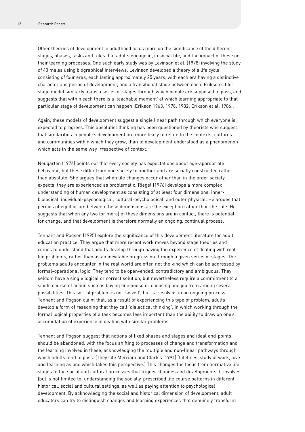Other theories of development in adulthood focus more on the significance of the different stages, phases, tasks and roles that adults engage in, in social life, and the impact of these on their learning processes. One such early study was by Levinson et al. (1978) involving the study of 40 males using biographical interviews. Levinson developed a theory of a life cycle consisting of four eras, each lasting approximately 25 years, with each era having a distinctive character and period of development, and a transitional stage between each. Erikson's lifestage model similarly maps a series of stages through which people are supposed to pass, and suggests that within each there is a 'teachable moment' at which learning appropriate to that particular stage of development can happen (Erikson 1963; 1978; 1982; Erikson et al. 1986).

Again, these models of development suggest a single linear path through which everyone is expected to progress. This absolutist thinking has been questioned by theorists who suggest that similarities in people's development are more likely to relate to the contexts, cultures and communities within which they grow, than to development understood as a phenomenon which acts in the same way irrespective of context.

Neugarten (1976) points out that every society has expectations about age-appropriate behaviour, but these differ from one society to another and are socially constructed rather than absolute. She argues that when life changes occur other than in the order society expects, they are experienced as problematic. Riegel (1976) develops a more complex understanding of human development as consisting of at least four dimensions: innerbiological, individual-psychological, cultural-psychological, and outer physical. He argues that periods of equilibrium between these dimensions are the exception rather than the rule. He suggests that when any two (or more) of these dimensions are in conflict, there is potential for change, and that development is therefore normally an ongoing, continual process.

Tennant and Pogson (1995) explore the significance of this development literature for adult education practice. They argue that more recent work moves beyond stage theories and comes to understand that adults develop through having the experience of dealing with reallife problems, rather than as an inevitable progression through a given series of stages. The problems adults encounter in the real world are often not the kind which can be addressed by formal-operational logic. They tend to be open-ended, contradictory and ambiguous. They seldom have a single logical or correct solution, but nevertheless require a commitment to a single course of action such as buying one house or choosing one job from among several possibilities. This sort of problem is not 'solved', but is 'resolved' in an ongoing process. Tennant and Pogson claim that, as a result of experiencing this type of problem, adults develop a form of reasoning that they call 'dialectical thinking', in which working through the formal logical properties of a task becomes less important than the ability to draw on one's accumulation of experience in dealing with similar problems.

Tennant and Pogson suggest that notions of fixed phases and stages and ideal end-points should be abandoned, with the focus shifting to processes of change and transformation and the learning involved in these, acknowledging the multiple and non-linear pathways through which adults tend to pass. (They cite Merriam and Clark's (1991) 'Lifelines' study of work, love and learning as one which takes this perspective.) This changes the focus from normative life stages to the social and cultural processes that trigger changes and developments. It involves (but is not limited to) understanding the socially-prescribed life course patterns in different historical, social and cultural settings, as well as paying attention to psychological development. By acknowledging the social and historical dimension of development, adult educators can try to distinguish changes and learning experiences that genuinely transform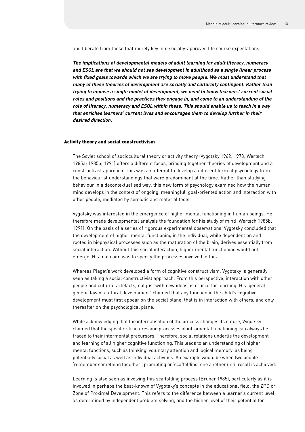and liberate from those that merely key into socially-approved life course expectations.

**The implications of developmental models of adult learning for adult literacy, numeracy and ESOL are that we should not see development in adulthood as a single linear process with fixed goals towards which we are trying to move people. We must understand that many of these theories of development are socially and culturally contingent. Rather than trying to impose a single model of development, we need to know learners' current social roles and positions and the practices they engage in, and come to an understanding of the role of literacy, numeracy and ESOL within these. This should enable us to teach in a way that enriches learners' current lives and encourages them to develop further in their desired direction.** 

#### Activity theory and social constructivism

The Soviet school of sociocultural theory or activity theory (Vygotsky 1962; 1978; Wertsch 1985a; 1985b; 1991) offers a different focus, bringing together theories of development and a constructivist approach. This was an attempt to develop a different form of psychology from the behaviourist understandings that were predominant at the time. Rather than studying behaviour in a decontextualised way, this new form of psychology examined how the human mind develops in the context of ongoing, meaningful, goal-oriented action and interaction with other people, mediated by semiotic and material tools.

Vygotsky was interested in the emergence of higher mental functioning in human beings. He therefore made developmental analysis the foundation for his study of mind (Wertsch 1985b; 1991). On the basis of a series of rigorous experimental observations, Vygotsky concluded that the development of higher mental functioning in the individual, while dependent on and rooted in biophysical processes such as the maturation of the brain, derives essentially from social interaction. Without this social interaction, higher mental functioning would not emerge. His main aim was to specify the processes involved in this.

Whereas Piaget's work developed a form of cognitive constructivism, Vygotsky is generally seen as taking a social constructivist approach. From this perspective, interaction with other people and cultural artefacts, not just with new ideas, is crucial for learning. His 'general genetic law of cultural development' claimed that any function in the child's cognitive development must first appear on the social plane, that is in interaction with others, and only thereafter on the psychological plane.

While acknowledging that the internalisation of the process changes its nature, Vygotsky claimed that the specific structures and processes of intramental functioning can always be traced to their intermental precursors. Therefore, social relations underlie the development and learning of all higher cognitive functioning. This leads to an understanding of higher mental functions, such as thinking, voluntary attention and logical memory, as being potentially social as well as individual activities. An example would be when two people 'remember something together', prompting or 'scaffolding' one another until recall is achieved.

Learning is also seen as involving this scaffolding process (Bruner 1985), particularly as it is involved in perhaps the best-known of Vygotsky's concepts in the educational field, the ZPD or Zone of Proximal Development. This refers to the difference between a learner's current level, as determined by independent problem solving, and the higher level of their potential for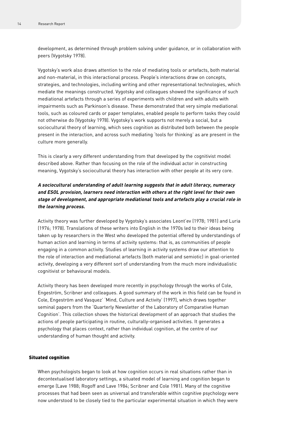development, as determined through problem solving under guidance, or in collaboration with peers (Vygotsky 1978).

Vygotsky's work also draws attention to the role of mediating tools or artefacts, both material and non-material, in this interactional process. People's interactions draw on concepts, strategies, and technologies, including writing and other representational technologies, which mediate the meanings constructed. Vygotsky and colleagues showed the significance of such mediational artefacts through a series of experiments with children and with adults with impairments such as Parkinson's disease. These demonstrated that very simple mediational tools, such as coloured cards or paper templates, enabled people to perform tasks they could not otherwise do (Vygotsky 1978). Vygotsky's work supports not merely a social, but a sociocultural theory of learning, which sees cognition as distributed both between the people present in the interaction, and across such mediating 'tools for thinking' as are present in the culture more generally.

This is clearly a very different understanding from that developed by the cognitivist model described above. Rather than focusing on the role of the individual actor in constructing meaning, Vygotsky's sociocultural theory has interaction with other people at its very core.

#### **A sociocultural understanding of adult learning suggests that in adult literacy, numeracy and ESOL provision, learners need interaction with others at the right level for their own stage of development, and appropriate mediational tools and artefacts play a crucial role in the learning process.**

Activity theory was further developed by Vygotsky's associates Leont'ev (1978; 1981) and Luria (1976; 1978). Translations of these writers into English in the 1970s led to their ideas being taken up by researchers in the West who developed the potential offered by understandings of human action and learning in terms of activity systems: that is, as communities of people engaging in a common activity. Studies of learning in activity systems draw our attention to the role of interaction and mediational artefacts (both material and semiotic) in goal-oriented activity, developing a very different sort of understanding from the much more individualistic cognitivist or behavioural models.

Activity theory has been developed more recently in psychology through the works of Cole, Engeström, Scribner and colleagues. A good summary of the work in this field can be found in Cole, Engeström and Vasquez' 'Mind, Culture and Activity' (1997), which draws together seminal papers from the 'Quarterly Newsletter of the Laboratory of Comparative Human Cognition'. This collection shows the historical development of an approach that studies the actions of people participating in routine, culturally-organised activities. It generates a psychology that places context, rather than individual cognition, at the centre of our understanding of human thought and activity.

#### Situated cognition

When psychologists began to look at how cognition occurs in real situations rather than in decontextualised laboratory settings, a situated model of learning and cognition began to emerge (Lave 1988; Rogoff and Lave 1984; Scribner and Cole 1981). Many of the cognitive processes that had been seen as universal and transferable within cognitive psychology were now understood to be closely tied to the particular experimental situation in which they were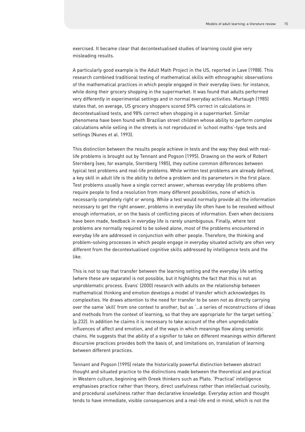exercised. It became clear that decontextualised studies of learning could give very misleading results.

A particularly good example is the Adult Math Project in the US, reported in Lave (1988). This research combined traditional testing of mathematical skills with ethnographic observations of the mathematical practices in which people engaged in their everyday lives: for instance, while doing their grocery shopping in the supermarket. It was found that adults performed very differently in experimental settings and in normal everyday activities. Murtaugh (1985) states that, on average, US grocery shoppers scored 59% correct in calculations in decontextualised tests, and 98% correct when shopping in a supermarket. Similar phenomena have been found with Brazilian street children whose ability to perform complex calculations while selling in the streets is not reproduced in 'school maths'-type tests and settings (Nunes et al. 1993).

This distinction between the results people achieve in tests and the way they deal with reallife problems is brought out by Tennant and Pogson (1995). Drawing on the work of Robert Sternberg (see, for example, Sternberg 1985), they outline common differences between typical test problems and real-life problems. While written test problems are already defined, a key skill in adult life is the ability to define a problem and its parameters in the first place. Test problems usually have a single correct answer, whereas everyday life problems often require people to find a resolution from many different possibilities, none of which is necessarily completely right or wrong. While a test would normally provide all the information necessary to get the right answer, problems in everyday life often have to be resolved without enough information, or on the basis of conflicting pieces of information. Even when decisions have been made, feedback in everyday life is rarely unambiguous. Finally, where test problems are normally required to be solved alone, most of the problems encountered in everyday life are addressed in conjunction with other people. Therefore, the thinking and problem-solving processes in which people engage in everyday situated activity are often very different from the decontextualised cognitive skills addressed by intelligence tests and the like.

This is not to say that transfer between the learning setting and the everyday life setting (where these are separate) is not possible, but it highlights the fact that this is not an unproblematic process. Evans' (2000) research with adults on the relationship between mathematical thinking and emotion develops a model of transfer which acknowledges its complexities. He draws attention to the need for transfer to be seen not as directly carrying over the same 'skill' from one context to another, but as '…a series of reconstructions of ideas and methods from the context of learning, so that they are appropriate for the target setting.' (p.232). In addition he claims it is necessary to take account of the often unpredictable influences of affect and emotion, and of the ways in which meanings flow along semiotic chains. He suggests that the ability of a signifier to take on different meanings within different discursive practices provides both the basis of, and limitations on, translation of learning between different practices.

Tennant and Pogson (1995) relate the historically powerful distinction between abstract thought and situated practice to the distinctions made between the theoretical and practical in Western culture, beginning with Greek thinkers such as Plato. 'Practical' intelligence emphasises practice rather than theory, direct usefulness rather than intellectual curiosity, and procedural usefulness rather than declarative knowledge. Everyday action and thought tends to have immediate, visible consequences and a real-life end in mind, which is not the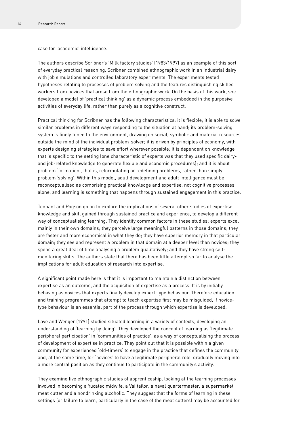case for 'academic' intelligence.

The authors describe Scribner's 'Milk factory studies' (1983/1997) as an example of this sort of everyday practical reasoning. Scribner combined ethnographic work in an industrial dairy with job simulations and controlled laboratory experiments. The experiments tested hypotheses relating to processes of problem solving and the features distinguishing skilled workers from novices that arose from the ethnographic work. On the basis of this work, she developed a model of 'practical thinking' as a dynamic process embedded in the purposive activities of everyday life, rather than purely as a cognitive construct.

Practical thinking for Scribner has the following characteristics: it is flexible; it is able to solve similar problems in different ways responding to the situation at hand; its problem-solving system is finely tuned to the environment, drawing on social, symbolic and material resources outside the mind of the individual problem-solver; it is driven by principles of economy, with experts designing strategies to save effort wherever possible; it is dependent on knowledge that is specific to the setting (one characteristic of experts was that they used specific dairyand job-related knowledge to generate flexible and economic procedures); and it is about problem 'formation', that is, reformulating or redefining problems, rather than simply problem 'solving'. Within this model, adult development and adult intelligence must be reconceptualised as comprising practical knowledge and expertise, not cognitive processes alone, and learning is something that happens through sustained engagement in this practice.

Tennant and Pogson go on to explore the implications of several other studies of expertise, knowledge and skill gained through sustained practice and experience, to develop a different way of conceptualising learning. They identify common factors in these studies: experts excel mainly in their own domains; they perceive large meaningful patterns in those domains; they are faster and more economical in what they do; they have superior memory in that particular domain; they see and represent a problem in that domain at a deeper level than novices; they spend a great deal of time analysing a problem qualitatively; and they have strong selfmonitoring skills. The authors state that there has been little attempt so far to analyse the implications for adult education of research into expertise.

A significant point made here is that it is important to maintain a distinction between expertise as an outcome, and the acquisition of expertise as a process. It is by initially behaving as novices that experts finally develop expert-type behaviour. Therefore education and training programmes that attempt to teach expertise first may be misguided, if novicetype behaviour is an essential part of the process through which expertise is developed.

Lave and Wenger (1991) studied situated learning in a variety of contexts, developing an understanding of 'learning by doing'. They developed the concept of learning as 'legitimate peripheral participation' in 'communities of practice', as a way of conceptualising the process of development of expertise in practice. They point out that it is possible within a given community for experienced 'old-timers' to engage in the practice that defines the community and, at the same time, for 'novices' to have a legitimate peripheral role, gradually moving into a more central position as they continue to participate in the community's activity.

They examine five ethnographic studies of apprenticeship, looking at the learning processes involved in becoming a Yucatec midwife, a Vai tailor, a naval quartermaster, a supermarket meat cutter and a nondrinking alcoholic. They suggest that the forms of learning in these settings (or failure to learn, particularly in the case of the meat cutters) may be accounted for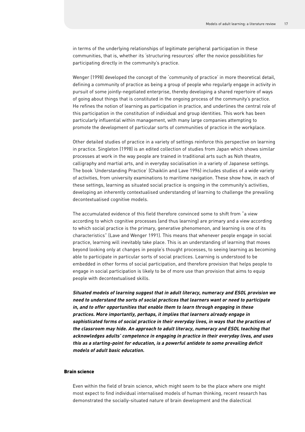in terms of the underlying relationships of legitimate peripheral participation in these communities, that is, whether its 'structuring resources' offer the novice possibilities for participating directly in the community's practice.

Wenger (1998) developed the concept of the 'community of practice' in more theoretical detail, defining a community of practice as being a group of people who regularly engage in activity in pursuit of some jointly-negotiated enterprise, thereby developing a shared repertoire of ways of going about things that is constituted in the ongoing process of the community's practice. He refines the notion of learning as participation in practice, and underlines the central role of this participation in the constitution of individual and group identities. This workhas been particularly influential within management, with many large companies attempting to promote the development of particular sorts of communities of practice in the workplace.

Other detailed studies of practice in a variety of settings reinforce this perspective on learning in practice. Singleton (1998) is an edited collection of studies from Japan which shows similar processes at work in the way people are trained in traditional arts such as Noh theatre, calligraphy and martial arts, and in everyday socialisation in a variety of Japanese settings. The book 'Understanding Practice' (Chaiklin and Lave 1996) includes studies of a wide variety of activities, from university examinations to maritime navigation. These show how, in each of these settings, learning as situated social practice is ongoing in the community's activities, developing an inherently contextualised understanding of learning to challenge the prevailing decontextualised cognitive models.

The accumulated evidence of this field therefore convinced some to shift from "a view according to which cognitive processes (and thus learning) are primary and a view according to which social practice is the primary, generative phenomenon, and learning is one of its characteristics" (Lave and Wenger 1991). This means that whenever people engage in social practice, learning will inevitably take place. This is an understanding of learning that moves beyond looking only at changes in people's thought processes, to seeing learning as becoming able to participate in particular sorts of social practices. Learning is understood to be embedded in other forms of social participation, and therefore provision that helps people to engage in social participation is likely to be of more use than provision that aims to equip people with decontextualised skills.

**Situated models of learning suggest that in adult literacy, numeracy and ESOL provision we need to understand the sorts of social practices that learners want or need to participate in, and to offer opportunities that enable them to learn through engaging in these practices. More importantly, perhaps, it implies that learners already engage in sophisticated forms of social practice in their everyday lives, in ways that the practices of the classroom may hide. An approach to adult literacy, numeracy and ESOL teaching that acknowledges adults' competence in engaging in practice in their everyday lives, and uses this as a starting-point for education, is a powerful antidote to some prevailing deficit models of adult basic education.**

#### Brain science

Even within the field of brain science, which might seem to be the place where one might most expect to find individual internalised models of human thinking, recent research has demonstrated the socially-situated nature of brain development and the dialectical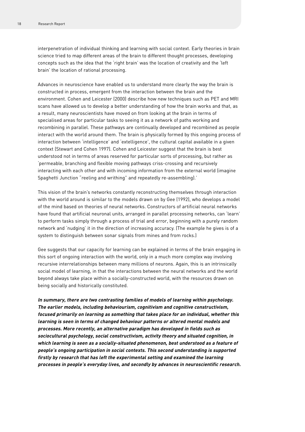interpenetration of individual thinking and learning with social context. Early theories in brain science tried to map different areas of the brain to different thought processes, developing concepts such as the idea that the 'right brain' was the location of creativity and the 'left brain' the location of rational processing.

Advances in neuroscience have enabled us to understand more clearly the way the brain is constructed in process, emergent from the interaction between the brain and the environment. Cohen and Leicester (2000) describe how new techniques such as PET and MRI scans have allowed us to develop a better understanding of how the brain works and that, as a result, many neuroscientists have moved on from looking at the brain in terms of specialised areas for particular tasks to seeing it as a network of paths working and recombining in parallel. These pathways are continually developed and recombined as people interact with the world around them. The brain is physically formed by this ongoing process of interaction between 'intelligence' and 'extelligence', the cultural capital available in a given context (Stewart and Cohen 1997). Cohen and Leicester suggest that the brain is best understood not in terms of areas reserved for particular sorts of processing, but rather as 'permeable, branching and flexible moving pathways criss-crossing and recursively interacting with each other and with incoming information from the external world (imagine Spaghetti Junction "reeling and writhing" and repeatedly re-assembling).'

This vision of the brain's networks constantly reconstructing themselves through interaction with the world around is similar to the models drawn on by Gee (1992), who develops a model of the mind based on theories of neural networks. Constructors of artificial neural networks have found that artificial neuronal units, arranged in parallel processing networks, can 'learn' to perform tasks simply through a process of trial and error, beginning with a purely random network and 'nudging' it in the direction of increasing accuracy. (The example he gives is of a system to distinguish between sonar signals from mines and from rocks.)

Gee suggests that our capacity for learning can be explained in terms of the brain engaging in this sort of ongoing interaction with the world, only in a much more complex way involving recursive interrelationships between many millions of neurons. Again, this is an intrinsically social model of learning, in that the interactions between the neural networks and the world beyond always take place within a socially-constructed world, with the resources drawn on being socially and historically constituted.

**In summary, there are two contrasting families of models of learning within psychology. The earlier models, including behaviourism, cognitivism and cognitive constructivism, focused primarily on learning as something that takes place for an individual, whether this learning is seen in terms of changed behaviour patterns or altered mental models and processes. More recently, an alternative paradigm has developed in fields such as sociocultural psychology, social constructivism, activity theory and situated cognition, in which learning is seen as a socially-situated phenomenon, best understood as a feature of people's ongoing participation in social contexts. This second understanding is supported firstly by research that has left the experimental setting and examined the learning processes in people's everyday lives, and secondly by advances in neuroscientific research.**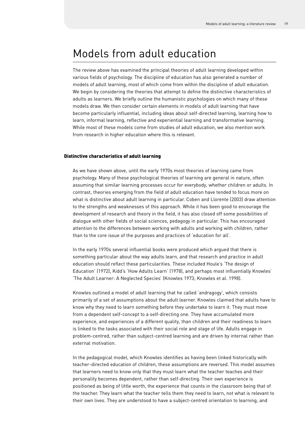### Models from adult education

The review above has examined the principal theories of adult learning developed within various fields of psychology. The discipline of education has also generated a number of models of adult learning, most of which come from within the discipline of adult education. We begin by considering the theories that attempt to define the distinctive characteristics of adults as learners. We briefly outline the humanistic psychologies on which many of these models draw. We then consider certain elements in models of adult learning that have become particularly influential, including ideas about self-directed learning, learning how to learn, informal learning, reflective and experiential learning and transformative learning. While most of these models come from studies of adult education, we also mention work from research in higher education where this is relevant.

#### Distinctive characteristics of adult learning

As we have shown above, until the early 1970s most theories of learning came from psychology. Many of these psychological theories of learning are general in nature, often assuming that similar learning processes occur for everybody, whether children or adults. In contrast, theories emerging from the field of adult education have tended to focus more on what is distinctive about adult learning in particular. Coben and Llorente (2003) draw attention to the strengths and weaknesses of this approach. While it has been good to encourage the development of research and theory in the field, it has also closed off some possibilities of dialogue with other fields of social sciences, pedagogy in particular. This has encouraged attention to the differences between working with adults and working with children, rather than to the core issue of the purposes and practices of 'education for all'.

In the early 1970s several influential books were produced which argued that there is something particular about the way adults learn, and that research and practice in adult education should reflect these particularities. These included Houle's 'The design of Education' (1972), Kidd's 'How Adults Learn' (1978), and perhaps most influentially Knowles' 'The Adult Learner: A Neglected Species' (Knowles 1973; Knowles et al. 1998).

Knowles outlined a model of adult learning that he called 'andragogy', which consists primarily of a set of assumptions about the adult learner. Knowles claimed that adults have to know why they need to learn something before they undertake to learn it. They must move from a dependent self-concept to a self-directing one. They have accumulated more experience, and experiences of a different quality, than children and their readiness to learn is linked to the tasks associated with their social role and stage of life. Adults engage in problem-centred, rather than subject-centred learning and are driven by internal rather than external motivation.

In the pedagogical model, which Knowles identifies as having been linked historically with teacher-directed education of children, these assumptions are reversed. This model assumes that learners need to know only that they must learn what the teacher teaches and their personality becomes dependent, rather than self-directing. Their own experience is positioned as being of little worth, the experience that counts in the classroom being that of the teacher. They learn what the teacher tells them they need to learn, not what is relevant to their own lives. They are understood to have a subject-centred orientation to learning, and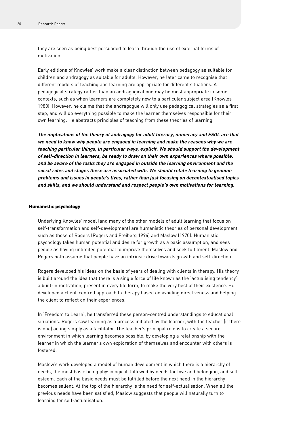they are seen as being best persuaded to learn through the use of external forms of motivation.

Early editions of Knowles' work make a clear distinction between pedagogy as suitable for children and andragogy as suitable for adults. However, he later came to recognise that different models of teaching and learning are appropriate for different situations. A pedagogical strategy rather than an andragogical one may be most appropriate in some contexts, such as when learners are completely new to a particular subject area (Knowles 1980). However, he claims that the andragogue will only use pedagogical strategies as a first step, and will do everything possible to make the learner themselves responsible for their own learning. He abstracts principles of teaching from these theories of learning.

**The implications of the theory of andragogy for adult literacy, numeracy and ESOL are that we need to know why people are engaged in learning and make the reasons why we are teaching particular things, in particular ways, explicit. We should support the development of self-direction in learners, be ready to draw on their own experiences where possible, and be aware of the tasks they are engaged in outside the learning environment and the social roles and stages these are associated with. We should relate learning to genuine problems and issues in people's lives, rather than just focusing on decontextualised topics and skills, and we should understand and respect people's own motivations for learning.**

#### Humanistic psychology

Underlying Knowles' model (and many of the other models of adult learning that focus on self-transformation and self-development) are humanistic theories of personal development, such as those of Rogers (Rogers and Freiberg 1994) and Maslow (1970). Humanistic psychology takes human potential and desire for growth as a basic assumption, and sees people as having unlimited potential to improve themselves and seek fulfilment. Maslow and Rogers both assume that people have an intrinsic drive towards growth and self-direction.

Rogers developed his ideas on the basis of years of dealing with clients in therapy. His theory is built around the idea that there is a single force of life known as the 'actualising tendency': a built-in motivation, present in every life form, to make the very best of their existence. He developed a client-centred approach to therapy based on avoiding directiveness and helping the client to reflect on their experiences.

In 'Freedom to Learn', he transferred these person-centred understandings to educational situations. Rogers saw learning as a process initiated by the learner, with the teacher (if there is one) acting simply as a facilitator. The teacher's principal role is to create a secure environment in which learning becomes possible, by developing a relationship with the learner in which the learner's own exploration of themselves and encounter with others is fostered.

Maslow's work developed a model of human development in which there is a hierarchy of needs, the most basic being physiological, followed by needs for love and belonging, and selfesteem. Each of the basic needs must be fulfilled before the next need in the hierarchy becomes salient. At the top of the hierarchy is the need for self-actualisation. When all the previous needs have been satisfied, Maslow suggests that people will naturally turn to learning for self-actualisation.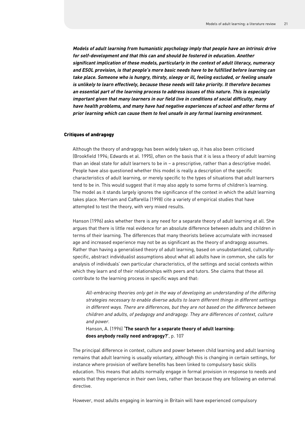**Models of adult learning from humanistic psychology imply that people have an intrinsic drive for self-development and that this can and should be fostered in education. Another significant implication of these models, particularly in the context of adult literacy, numeracy and ESOL provision, is that people's more basic needs have to be fulfilled before learning can take place. Someone who is hungry, thirsty, sleepy or ill, feeling excluded, or feeling unsafe is unlikely to learn effectively, because these needs will take priority. It therefore becomes an essential part of the learning process to address issues of this nature. This is especially important given that many learners in our field live in conditions of social difficulty, many have health problems, and many have had negative experiences of school and other forms of prior learning which can cause them to feel unsafe in any formal learning environment.**

#### Critiques of andragogy

Although the theory of andragogy has been widely taken up, it has also been criticised (Brookfield 1994; Edwards et al. 1995), often on the basis that it is less a theory of adult learning than an ideal state for adult learners to be in – a prescriptive, rather than a descriptive model. People have also questioned whether this model is really a description of the specific characteristics of adult learning, or merely specific to the types of situations that adult learners tend to be in. This would suggest that it may also apply to some forms of children's learning. The model as it stands largely ignores the significance of the context in which the adult learning takes place. Merriam and Caffarella (1998) cite a variety of empirical studies that have attempted to test the theory, with very mixed results.

Hanson (1996) asks whether there is any need for a separate theory of adult learning at all. She argues that there is little real evidence for an absolute difference between adults and children in terms of their learning. The differences that many theorists believe accumulate with increased age and increased experience may not be as significant as the theory of andragogy assumes. Rather than having a generalised theory of adult learning, based on unsubstantiated, culturallyspecific, abstract individualist assumptions about what all adults have in common, she calls for analysis of individuals' own particular characteristics, of the settings and social contexts within which they learn and of their relationships with peers and tutors. She claims that these all contribute to the learning process in specific ways and that:

All-embracing theories only get in the way of developing an understanding of the differing strategies necessary to enable diverse adults to learn different things in different settings in different ways. There are differences, but they are not based on the difference between children and adults, of pedagogy and andragogy. They are differences of context, culture and power.

Hanson, A. (1996) **'The search for a separate theory of adult learning: does anybody really need andragogy?'**, p. 107

The principal difference in context, culture and power between child learning and adult learning remains that adult learning is usually voluntary, although this is changing in certain settings, for instance where provision of welfare benefits has been linked to compulsory basic skills education. This means that adults normally engage in formal provision in response to needs and wants that they experience in their own lives, rather than because they are following an external directive.

However, most adults engaging in learning in Britain will have experienced compulsory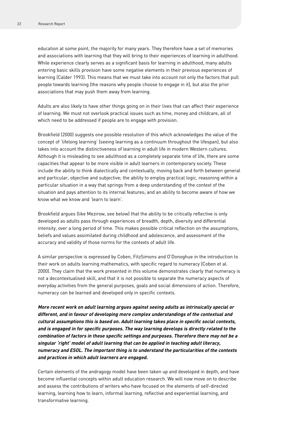education at some point, the majority for many years. They therefore have a set of memories and associations with learning that they will bring to their experiences of learning in adulthood. While experience clearly serves as a significant basis for learning in adulthood, many adults entering basic skills provision have some negative elements in their previous experiences of learning (Calder 1993). This means that we must take into account not only the factors that pull people towards learning (the reasons why people choose to engage in it), but also the prior associations that may push them away from learning.

Adults are also likely to have other things going on in their lives that can affect their experience of learning. We must not overlook practical issues such as time, money and childcare, all of which need to be addressed if people are to engage with provision.

Brookfield (2000) suggests one possible resolution of this which acknowledges the value of the concept of 'lifelong learning' (seeing learning as a continuum throughout the lifespan), but also takes into account the distinctiveness of learning in adult life in modern Western cultures. Although it is misleading to see adulthood as a completely separate time of life, there are some capacities that appear to be more visible in adult learners in contemporary society. These include the ability to think dialectically and contextually, moving back and forth between general and particular, objective and subjective; the ability to employ practical logic, reasoning within a particular situation in a way that springs from a deep understanding of the context of the situation and pays attention to its internal features; and an ability to become aware of how we know what we know and 'learn to learn'.

Brookfield argues (like Mezirow, see below) that the ability to be critically reflective is only developed as adults pass through experiences of breadth, depth, diversity and differential intensity, over a long period of time. This makes possible critical reflection on the assumptions, beliefs and values assimilated during childhood and adolescence, and assessment of the accuracy and validity of those norms for the contexts of adult life.

A similar perspective is expressed by Coben, FitzSimons and O'Donoghue in the introduction to their work on adults learning mathematics, with specific regard to numeracy (Coben et al. 2000). They claim that the work presented in this volume demonstrates clearly that numeracy is not a decontextualised skill, and that it is not possible to separate the numeracy aspects of everyday activities from the general purposes, goals and social dimensions of action. Therefore, numeracy can be learned and developed only in specific contexts.

**More recent work on adult learning argues against seeing adults as intrinsically special or different, and in favour of developing more complex understandings of the contextual and cultural assumptions this is based on. Adult learning takes place in specific social contexts, and is engaged in for specific purposes. The way learning develops is directly related to the combination of factors in these specific settings and purposes. Therefore there may not be a singular 'right' model of adult learning that can be applied in teaching adult literacy, numeracy and ESOL. The important thing is to understand the particularities of the contexts and practices in which adult learners are engaged.**

Certain elements of the andragogy model have been taken up and developed in depth, and have become influential concepts within adult education research. We will now move on to describe and assess the contributions of writers who have focused on the elements of self-directed learning, learning how to learn, informal learning, reflective and experiential learning, and transformative learning.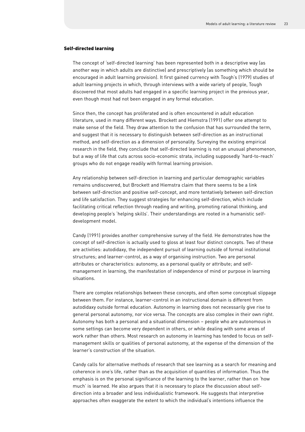#### Self-directed learning

The concept of 'self-directed learning' has been represented both in a descriptive way (as another way in which adults are distinctive) and prescriptively (as something which should be encouraged in adult learning provision). It first gained currency with Tough's (1979) studies of adult learning projects in which, through interviews with a wide variety of people, Tough discovered that most adults had engaged in a specific learning project in the previous year, even though most had not been engaged in any formal education.

Since then, the concept has proliferated and is often encountered in adult education literature, used in many different ways. Brockett and Hiemstra (1991) offer one attempt to make sense of the field. They draw attention to the confusion that has surrounded the term, and suggest that it is necessary to distinguish between self-direction as an instructional method, and self-direction as a dimension of personality. Surveying the existing empirical research in the field, they conclude that self-directed learning is not an unusual phenomenon, but a way of life that cuts across socio-economic strata, including supposedly 'hard-to-reach' groups who do not engage readily with formal learning provision.

Any relationship between self-direction in learning and particular demographic variables remains undiscovered, but Brockett and Hiemstra claim that there seems to be a link between self-direction and positive self-concept, and more tentatively between self-direction and life satisfaction. They suggest strategies for enhancing self-direction, which include facilitating critical reflection through reading and writing, promoting rational thinking, and developing people's 'helping skills'. Their understandings are rooted in a humanistic selfdevelopment model.

Candy (1991) provides another comprehensive survey of the field. He demonstrates how the concept of self-direction is actually used to gloss at least four distinct concepts. Two of these are activities: autodidaxy, the independent pursuit of learning outside of formal institutional structures; and learner-control, as a way of organising instruction. Two are personal attributes or characteristics: autonomy, as a personal quality or attribute; and selfmanagement in learning, the manifestation of independence of mind or purpose in learning situations.

There are complex relationships between these concepts, and often some conceptual slippage between them. For instance, learner-control in an instructional domain is different from autodidaxy outside formal education. Autonomy in learning does not necessarily give rise to general personal autonomy, nor vice versa. The concepts are also complex in their own right. Autonomy has both a personal and a situational dimension – people who are autonomous in some settings can become very dependent in others, or while dealing with some areas of work rather than others. Most research on autonomy in learning has tended to focus on selfmanagement skills or qualities of personal autonomy, at the expense of the dimension of the learner's construction of the situation.

Candy calls for alternative methods of research that see learning as a search for meaning and coherence in one's life, rather than as the acquisition of quantities of information. Thus the emphasis is on the personal significance of the learning to the learner, rather than on 'how much' is learned. He also argues that it is necessary to place the discussion about selfdirection into a broader and less individualistic framework. He suggests that interpretive approaches often exaggerate the extent to which the individual's intentions influence the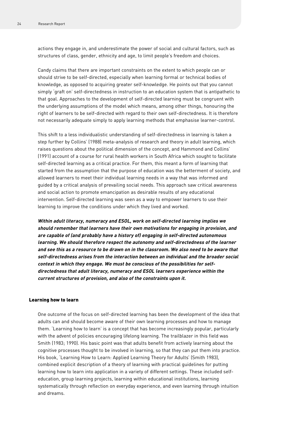actions they engage in, and underestimate the power of social and cultural factors, such as structures of class, gender, ethnicity and age, to limit people's freedom and choices.

Candy claims that there are important constraints on the extent to which people can or should strive to be self-directed, especially when learning formal or technical bodies of knowledge, as opposed to acquiring greater self-knowledge. He points out that you cannot simply 'graft on' self-directedness in instruction to an education system that is antipathetic to that goal. Approaches to the development of self-directed learning must be congruent with the underlying assumptions of the model which means, among other things, honouring the right of learners to be self-directed with regard to their own self-directedness. It is therefore not necessarily adequate simply to apply learning methods that emphasise learner-control.

This shift to a less individualistic understanding of self-directedness in learning is taken a step further by Collins' (1988) meta-analysis of research and theory in adult learning, which raises questions about the political dimension of the concept, and Hammond and Collins' (1991) account of a course for rural health workers in South Africa which sought to facilitate self-directed learning as a critical practice. For them, this meant a form of learning that started from the assumption that the purpose of education was the betterment of society, and allowed learners to meet their individual learning needs in a way that was informed and guided by a critical analysis of prevailing social needs. This approach saw critical awareness and social action to promote emancipation as desirable results of any educational intervention. Self-directed learning was seen as a way to empower learners to use their learning to improve the conditions under which they lived and worked.

**Within adult literacy, numeracy and ESOL, work on self-directed learning implies we should remember that learners have their own motivations for engaging in provision, and are capable of (and probably have a history of) engaging in self-directed autonomous learning. We should therefore respect the autonomy and self-directedness of the learner and see this as a resource to be drawn on in the classroom. We also need to be aware that self-directedness arises from the interaction between an individual and the broader social context in which they engage. We must be conscious of the possibilities for selfdirectedness that adult literacy, numeracy and ESOL learners experience within the current structures of provision, and also of the constraints upon it.**

#### Learning how to learn

One outcome of the focus on self-directed learning has been the development of the idea that adults can and should become aware of their own learning processes and how to manage them. 'Learning how to learn' is a concept that has become increasingly popular, particularly with the advent of policies encouraging lifelong learning. The trailblazer in this field was Smith (1983; 1990). His basic point was that adults benefit from actively learning about the cognitive processes thought to be involved in learning, so that they can put them into practice. His book, 'Learning How to Learn: Applied Learning Theory for Adults' (Smith 1983), combined explicit description of a theory of learning with practical guidelines for putting learning how to learn into application in a variety of different settings. These included selfeducation, group learning projects, learning within educational institutions, learning systematically through reflection on everyday experience, and even learning through intuition and dreams.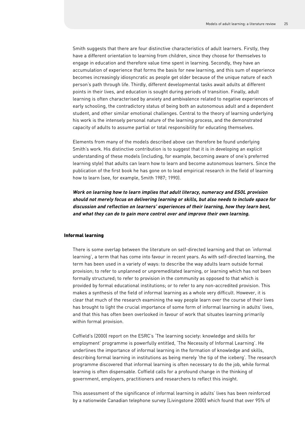Smith suggests that there are four distinctive characteristics of adult learners. Firstly, they have a different orientation to learning from children, since they choose for themselves to engage in education and therefore value time spent in learning. Secondly, they have an accumulation of experience that forms the basis for new learning, and this sum of experience becomes increasingly idiosyncratic as people get older because of the unique nature of each person's path through life. Thirdly, different developmental tasks await adults at different points in their lives, and education is sought during periods of transition. Finally, adult learning is often characterised by anxiety and ambivalence related to negative experiences of early schooling, the contradictory status of being both an autonomous adult and a dependent student, and other similar emotional challenges. Central to the theory of learning underlying his work is the intensely personal nature of the learning process, and the demonstrated capacity of adults to assume partial or total responsibility for educating themselves.

Elements from many of the models described above can therefore be found underlying Smith's work. His distinctive contribution is to suggest that it is in developing an explicit understanding of these models (including, for example, becoming aware of one's preferred learning style) that adults can learn how to learn and become autonomous learners. Since the publication of the first book he has gone on to lead empirical research in the field of learning how to learn (see, for example, Smith 1987; 1990).

**Work on learning how to learn implies that adult literacy, numeracy and ESOL provision should not merely focus on delivering learning or skills, but also needs to include space for discussion and reflection on learners' experiences of their learning, how they learn best, and what they can do to gain more control over and improve their own learning.**

#### Informal learning

There is some overlap between the literature on self-directed learning and that on 'informal learning', a term that has come into favour in recent years. As with self-directed learning, the term has been used in a variety of ways: to describe the way adults learn outside formal provision; to refer to unplanned or unpremeditated learning, or learning which has not been formally structured; to refer to provision in the community as opposed to that which is provided by formal educational institutions; or to refer to any non-accredited provision. This makes a synthesis of the field of informal learning as a whole very difficult. However, it is clear that much of the research examining the way people learn over the course of their lives has brought to light the crucial importance of some form of informal learning in adults' lives, and that this has often been overlooked in favour of work that situates learning primarily within formal provision.

Coffield's (2000) report on the ESRC's 'The learning society: knowledge and skills for employment' programme is powerfully entitled, 'The Necessity of Informal Learning'. He underlines the importance of informal learning in the formation of knowledge and skills, describing formal learning in institutions as being merely 'the tip of the iceberg'. The research programme discovered that informal learning is often necessary to do the job, while formal learning is often dispensable. Coffield calls for a profound change in the thinking of government, employers, practitioners and researchers to reflect this insight.

This assessment of the significance of informal learning in adults' lives has been reinforced by a nationwide Canadian telephone survey (Livingstone 2000) which found that over 95% of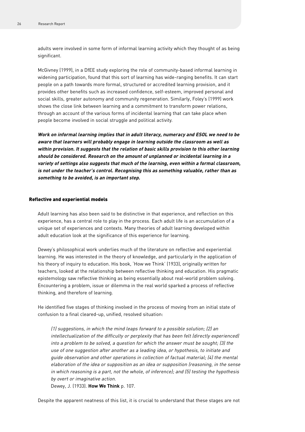adults were involved in some form of informal learning activity which they thought of as being significant.

McGivney (1999), in a DfEE study exploring the role of community-based informal learning in widening participation, found that this sort of learning has wide-ranging benefits. It can start people on a path towards more formal, structured or accredited learning provision, and it provides other benefits such as increased confidence, self-esteem, improved personal and social skills, greater autonomy and community regeneration. Similarly, Foley's (1999) work shows the close link between learning and a commitment to transform power relations, through an account of the various forms of incidental learning that can take place when people become involved in social struggle and political activity.

**Work on informal learning implies that in adult literacy, numeracy and ESOL we need to be aware that learners will probably engage in learning outside the classroom as well as within provision. It suggests that the relation of basic skills provision to this other learning should be considered. Research on the amount of unplanned or incidental learning in a variety of settings also suggests that much of the learning, even within a formal classroom, is not under the teacher's control. Recognising this as something valuable, rather than as something to be avoided, is an important step.**

#### Reflective and experiential models

Adult learning has also been said to be distinctive in that experience, and reflection on this experience, has a central role to play in the process. Each adult life is an accumulation of a unique set of experiences and contexts. Many theories of adult learning developed within adult education look at the significance of this experience for learning.

Dewey's philosophical work underlies much of the literature on reflective and experiential learning. He was interested in the theory of knowledge, and particularly in the application of his theory of inquiry to education. His book, 'How we Think' (1933), originally written for teachers, looked at the relationship between reflective thinking and education. His pragmatic epistemology saw reflective thinking as being essentially about real-world problem solving. Encountering a problem, issue or dilemma in the real world sparked a process of reflective thinking, and therefore of learning.

He identified five stages of thinking involved in the process of moving from an initial state of confusion to a final cleared-up, unified, resolved situation:

(1) suggestions, in which the mind leaps forward to a possible solution; (2) an intellectualization of the difficulty or perplexity that has been felt (directly experienced) into a problem to be solved, a question for which the answer must be sought; (3) the use of one suggestion after another as a leading idea, or hypothesis, to initiate and guide observation and other operations in collection of factual material; (4) the mental elaboration of the idea or supposition as an idea or supposition (reasoning, in the sense in which reasoning is a part, not the whole, of inference); and (5) testing the hypothesis by overt or imaginative action.

Dewey, J. (1933). **How We Think** p. 107.

Despite the apparent neatness of this list, it is crucial to understand that these stages are not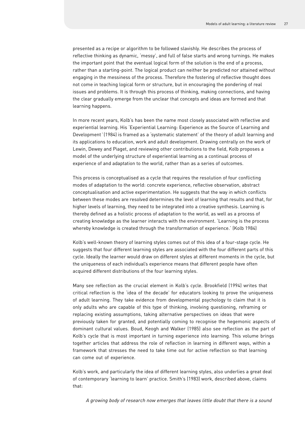presented as a recipe or algorithm to be followed slavishly. He describes the process of reflective thinking as dynamic, 'messy', and full of false starts and wrong turnings. He makes the important point that the eventual logical form of the solution is the end of a process, rather than a starting-point. The logical product can neither be predicted nor attained without engaging in the messiness of the process. Therefore the fostering of reflective thought does not come in teaching logical form or structure, but in encouraging the pondering of real issues and problems. It is through this process of thinking, making connections, and having the clear gradually emerge from the unclear that concepts and ideas are formed and that learning happens.

In more recent years, Kolb's has been the name most closely associated with reflective and experiential learning. His 'Experiential Learning: Experience as the Source of Learning and Development' (1984) is framed as a 'systematic statement' of the theory of adult learning and its applications to education, work and adult development. Drawing centrally on the work of Lewin, Dewey and Piaget, and reviewing other contributions to the field, Kolb proposes a model of the underlying structure of experiential learning as a continual process of experience of and adaptation to the world, rather than as a series of outcomes.

This process is conceptualised as a cycle that requires the resolution of four conflicting modes of adaptation to the world: concrete experience, reflective observation, abstract conceptualisation and active experimentation. He suggests that the way in which conflicts between these modes are resolved determines the level of learning that results and that, for higher levels of learning, they need to be integrated into a creative synthesis. Learning is thereby defined as a holistic process of adaptation to the world, as well as a process of creating knowledge as the learner interacts with the environment. 'Learning is the process whereby knowledge is created through the transformation of experience.' (Kolb 1984)

Kolb's well-known theory of learning styles comes out of this idea of a four-stage cycle. He suggests that four different learning styles are associated with the four different parts of this cycle. Ideally the learner would draw on different styles at different moments in the cycle, but the uniqueness of each individual's experience means that different people have often acquired different distributions of the four learning styles.

Many see reflection as the crucial element in Kolb's cycle. Brookfield (1994) writes that critical reflection is the 'idea of the decade' for educators looking to prove the uniqueness of adult learning. They take evidence from developmental psychology to claim that it is only adults who are capable of this type of thinking, involving questioning, reframing or replacing existing assumptions, taking alternative perspectives on ideas that were previously taken for granted, and potentially coming to recognise the hegemonic aspects of dominant cultural values. Boud, Keogh and Walker (1985) also see reflection as the part of Kolb's cycle that is most important in turning experience into learning. This volume brings together articles that address the role of reflection in learning in different ways, within a framework that stresses the need to take time out for active reflection so that learning can come out of experience.

Kolb's work, and particularly the idea of different learning styles, also underlies a great deal of contemporary 'learning to learn' practice. Smith's (1983) work, described above, claims that:

A growing body of research now emerges that leaves little doubt that there is a sound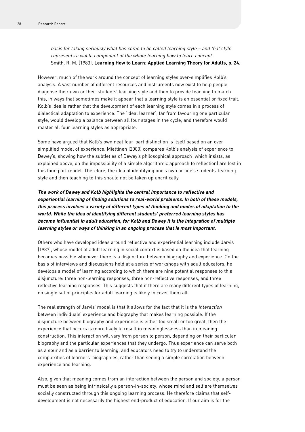basis for taking seriously what has come to be called learning style – and that style represents a viable component of the whole learning how to learn concept. Smith, R. M. (1983). **Learning How to Learn: Applied Learning Theory for Adults, p. 24**.

However, much of the work around the concept of learning styles over-simplifies Kolb's analysis. A vast number of different resources and instruments now exist to help people diagnose their own or their students' learning style and then to provide teaching to match this, in ways that sometimes make it appear that a learning style is an essential or fixed trait. Kolb's idea is rather that the development of each learning style comes in a process of dialectical adaptation to experience. The 'ideal learner', far from favouring one particular style, would develop a balance between all four stages in the cycle, and therefore would master all four learning styles as appropriate.

Some have argued that Kolb's own neat four-part distinction is itself based on an oversimplified model of experience. Miettinen (2000) compares Kolb's analysis of experience to Dewey's, showing how the subtleties of Dewey's philosophical approach (which insists, as explained above, on the impossibility of a simple algorithmic approach to reflection) are lost in this four-part model. Therefore, the idea of identifying one's own or one's students' learning style and then teaching to this should not be taken up uncritically.

**The work of Dewey and Kolb highlights the central importance to reflective and experiential learning of finding solutions to real-world problems. In both of these models, this process involves a variety of different types of thinking and modes of adaptation to the world. While the idea of identifying different students' preferred learning styles has become influential in adult education, for Kolb and Dewey it is the integration of multiple learning styles or ways of thinking in an ongoing process that is most important.**

Others who have developed ideas around reflective and experiential learning include Jarvis (1987), whose model of adult learning in social context is based on the idea that learning becomes possible whenever there is a disjuncture between biography and experience. On the basis of interviews and discussions held at a series of workshops with adult educators, he develops a model of learning according to which there are nine potential responses to this disjuncture: three non-learning responses, three non-reflective responses, and three reflective learning responses. This suggests that if there are many different types of learning, no single set of principles for adult learning is likely to cover them all.

The real strength of Jarvis' model is that it allows for the fact that it is the interaction between individuals' experience and biography that makes learning possible. If the disjuncture between biography and experience is either too small or too great, then the experience that occurs is more likely to result in meaninglessness than in meaning construction. This interaction will vary from person to person, depending on their particular biography and the particular experiences that they undergo. Thus experience can serve both as a spur and as a barrier to learning, and educators need to try to understand the complexities of learners' biographies, rather than seeing a simple correlation between experience and learning.

Also, given that meaning comes from an interaction between the person and society, a person must be seen as being intrinsically a person-in-society, whose mind and self are themselves socially constructed through this ongoing learning process. He therefore claims that selfdevelopment is not necessarily the highest end-product of education. If our aim is for the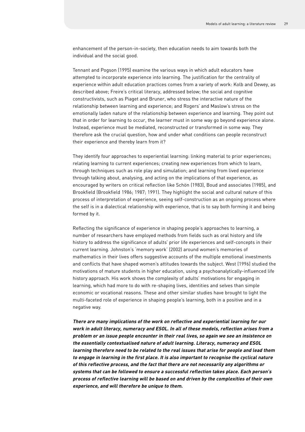enhancement of the person-in-society, then education needs to aim towards both the individual and the social good.

Tennant and Pogson (1995) examine the various ways in which adult educators have attempted to incorporate experience into learning. The justification for the centrality of experience within adult education practices comes from a variety of work: Kolb and Dewey, as described above; Freire's critical literacy, addressed below; the social and cognitive constructivists, such as Piaget and Bruner, who stress the interactive nature of the relationship between learning and experience; and Rogers' and Maslow's stress on the emotionally laden nature of the relationship between experience and learning. They point out that in order for learning to occur, the learner must in some way go beyond experience alone. Instead, experience must be mediated, reconstructed or transformed in some way. They therefore ask the crucial question, how and under what conditions can people reconstruct their experience and thereby learn from it?

They identify four approaches to experiential learning: linking material to prior experiences; relating learning to current experiences; creating new experiences from which to learn, through techniques such as role play and simulation; and learning from lived experience through talking about, analysing, and acting on the implications of that experience, as encouraged by writers on critical reflection like Schön (1983), Boud and associates (1985), and Brookfield (Brookfield 1986; 1987; 1991). They highlight the social and cultural nature of this process of interpretation of experience, seeing self-construction as an ongoing process where the self is in a dialectical relationship with experience, that is to say both forming it and being formed by it.

Reflecting the significance of experience in shaping people's approaches to learning, a number of researchers have employed methods from fields such as oral history and life history to address the significance of adults' prior life experiences and self-concepts in their current learning. Johnston's 'memory work' (2002) around women's memories of mathematics in their lives offers suggestive accounts of the multiple emotional investments and conflicts that have shaped women's attitudes towards the subject. West (1996) studied the motivations of mature students in higher education, using a psychoanalytically-influenced life history approach. His work shows the complexity of adults' motivations for engaging in learning, which had more to do with re-shaping lives, identities and selves than simple economic or vocational reasons. These and other similar studies have brought to light the multi-faceted role of experience in shaping people's learning, both in a positive and in a negative way.

**There are many implications of the work on reflective and experiential learning for our work in adult literacy, numeracy and ESOL. In all of these models, reflection arises from a problem or an issue people encounter in their real lives, so again we see an insistence on the essentially contextualised nature of adult learning. Literacy, numeracy and ESOL learning therefore need to be related to the real issues that arise for people and lead them to engage in learning in the first place. It is also important to recognise the cyclical nature of this reflective process, and the fact that there are not necessarily any algorithms or systems that can be followed to ensure a successful reflection takes place. Each person's process of reflective learning will be based on and driven by the complexities of their own experience, and will therefore be unique to them.**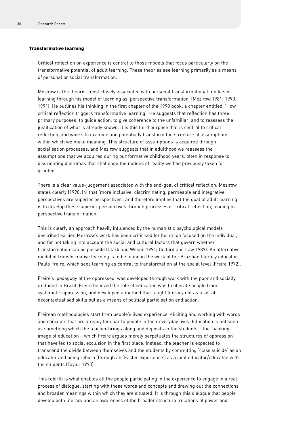#### Transformative learning

Critical reflection on experience is central to those models that focus particularly on the transformative potential of adult learning. These theories see learning primarily as a means of personal or social transformation.

Mezirow is the theorist most closely associated with personal transformational models of learning through his model of learning as 'perspective transformation' (Mezirow 1981; 1990; 1991). He outlines his thinking in the first chapter of the 1990 book, a chapter entitled, 'How critical reflection triggers transformative learning'. He suggests that reflection has three primary purposes: to guide action, to give coherence to the unfamiliar, and to reassess the justification of what is already known. It is this third purpose that is central to critical reflection, and works to examine and potentially transform the structure of assumptions within which we make meaning. This structure of assumptions is acquired through socialisation processes, and Mezirow suggests that in adulthood we reassess the assumptions that we acquired during our formative childhood years, often in response to disorienting dilemmas that challenge the notions of reality we had previously taken for granted.

There is a clear value-judgement associated with the end-goal of critical reflection. Mezirow states clearly (1990:14) that 'more inclusive, discriminating, permeable and integrative perspectives are superior perspectives', and therefore implies that the goal of adult learning is to develop these superior perspectives through processes of critical reflection, leading to perspective transformation.

This is clearly an approach heavily influenced by the humanistic psychological models described earlier. Mezirow's work has been criticised for being too focused on the individual, and for not taking into account the social and cultural factors that govern whether transformation can be possible (Clark and Wilson 1991; Collard and Law 1989). An alternative model of transformative learning is to be found in the work of the Brazilian literacy educator Paulo Freire, which sees learning as central to transformation at the social level (Freire 1972).

Freire's 'pedagogy of the oppressed' was developed through work with the poor and socially excluded in Brazil. Freire believed the role of education was to liberate people from systematic oppression, and developed a method that taught literacy not as a set of decontextualised skills but as a means of political participation and action.

Freirean methodologies start from people's lived experience, eliciting and working with words and concepts that are already familiar to people in their everyday lives. Education is not seen as something which the teacher brings along and deposits in the students – the 'banking' image of education – which Freire argues merely perpetuates the structures of oppression that have led to social exclusion in the first place. Instead, the teacher is expected to transcend the divide between themselves and the students by committing 'class suicide' as an educator and being reborn (through an 'Easter experience') as a joint educator/educatee with the students (Taylor 1993).

This rebirth is what enables all the people participating in the experience to engage in a real process of dialogue, starting with these words and concepts and drawing out the connections and broader meanings within which they are situated. It is through this dialogue that people develop both literacy and an awareness of the broader structural relations of power and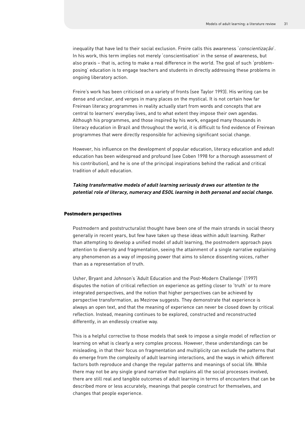inequality that have led to their social exclusion. Freire calls this awareness 'conscientização'. In his work, this term implies not merely 'conscientisation' in the sense of awareness, but also praxis – that is, acting to make a real difference in the world. The goal of such 'problemposing' education is to engage teachers and students in directly addressing these problems in ongoing liberatory action.

Freire's work has been criticised on a variety of fronts (see Taylor 1993). His writing can be dense and unclear, and verges in many places on the mystical. It is not certain how far Freirean literacy programmes in reality actually start from words and concepts that are central to learners' everyday lives, and to what extent they impose their own agendas. Although his programmes, and those inspired by his work, engaged many thousands in literacy education in Brazil and throughout the world, it is difficult to find evidence of Freirean programmes that were directly responsible for achieving significant social change.

However, his influence on the development of popular education, literacy education and adult education has been widespread and profound (see Coben 1998 for a thorough assessment of his contribution), and he is one of the principal inspirations behind the radical and critical tradition of adult education.

**Taking transformative models of adult learning seriously draws our attention to the potential role of literacy, numeracy and ESOL learning in both personal and social change.**

#### Postmodern perspectives

Postmodern and poststructuralist thought have been one of the main strands in social theory generally in recent years, but few have taken up these ideas within adult learning. Rather than attempting to develop a unified model of adult learning, the postmodern approach pays attention to diversity and fragmentation, seeing the attainment of a single narrative explaining any phenomenon as a way of imposing power that aims to silence dissenting voices, rather than as a representation of truth.

Usher, Bryant and Johnson's 'Adult Education and the Post-Modern Challenge' (1997) disputes the notion of critical reflection on experience as getting closer to 'truth' or to more integrated perspectives, and the notion that higher perspectives can be achieved by perspective transformation, as Mezirow suggests. They demonstrate that experience is always an open text, and that the meaning of experience can never be closed down by critical reflection. Instead, meaning continues to be explored, constructed and reconstructed differently, in an endlessly creative way.

This is a helpful corrective to those models that seek to impose a single model of reflection or learning on what is clearly a very complex process. However, these understandings can be misleading, in that their focus on fragmentation and multiplicity can exclude the patterns that do emerge from the complexity of adult learning interactions, and the ways in which different factors both reproduce and change the regular patterns and meanings of social life. While there may not be any single grand narrative that explains all the social processes involved, there are still real and tangible outcomes of adult learning in terms of encounters that can be described more or less accurately, meanings that people construct for themselves, and changes that people experience.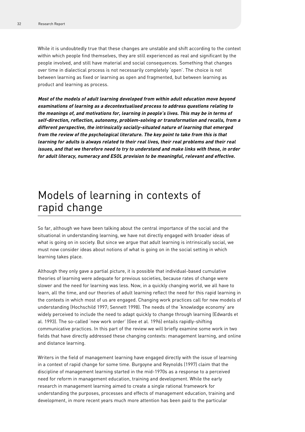While it is undoubtedly true that these changes are unstable and shift according to the context within which people find themselves, they are still experienced as real and significant by the people involved, and still have material and social consequences. Something that changes over time in dialectical process is not necessarily completely 'open'. The choice is not between learning as fixed or learning as open and fragmented, but between learning as product and learning as process.

**Most of the models of adult learning developed from within adult education move beyond examinations of learning as a decontextualised process to address questions relating to the meanings of, and motivations for, learning in people's lives. This may be in terms of self-direction, reflection, autonomy, problem-solving or transformation and recalls, from a different perspective, the intrinsically socially-situated nature of learning that emerged from the review of the psychological literature. The key point to take from this is that learning for adults is always related to their real lives, their real problems and their real issues, and that we therefore need to try to understand and make links with these, in order for adult literacy, numeracy and ESOL provision to be meaningful, relevant and effective.**

### Models of learning in contexts of rapid change

So far, although we have been talking about the central importance of the social and the situational in understanding learning, we have not directly engaged with broader ideas of what is going on in society. But since we argue that adult learning is intrinsically social, we must now consider ideas about notions of what is going on in the social setting in which learning takes place.

Although they only gave a partial picture, it is possible that individual-based cumulative theories of learning were adequate for previous societies, because rates of change were slower and the need for learning was less. Now, in a quickly changing world, we all have to learn, all the time, and our theories of adult learning reflect the need for this rapid learning in the contexts in which most of us are engaged. Changing work practices call for new models of understanding (Hochschild 1997; Sennett 1998). The needs of the 'knowledge economy' are widely perceived to include the need to adapt quickly to change through learning (Edwards et al. 1993). The so-called 'new work order' (Gee et al. 1996) entails rapidly-shifting communicative practices. In this part of the review we will briefly examine some work in two fields that have directly addressed these changing contexts: management learning, and online and distance learning.

Writers in the field of management learning have engaged directly with the issue of learning in a context of rapid change for some time. Burgoyne and Reynolds (1997) claim that the discipline of management learning started in the mid-1970s as a response to a perceived need for reform in management education, training and development. While the early research in management learning aimed to create a single rational framework for understanding the purposes, processes and effects of management education, training and development, in more recent years much more attention has been paid to the particular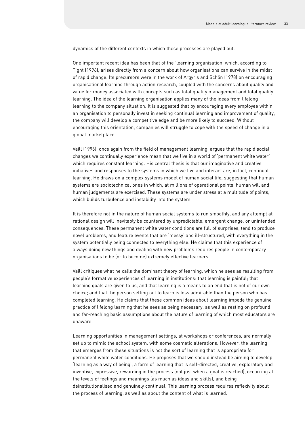dynamics of the different contexts in which these processes are played out.

One important recent idea has been that of the 'learning organisation' which, according to Tight (1996), arises directly from a concern about how organisations can survive in the midst of rapid change. Its precursors were in the work of Argyris and Schön (1978) on encouraging organisational learning through action research, coupled with the concerns about quality and value for money associated with concepts such as total quality management and total quality learning. The idea of the learning organisation applies many of the ideas from lifelong learning to the company situation. It is suggested that by encouraging every employee within an organisation to personally invest in seeking continual learning and improvement of quality, the company will develop a competitive edge and be more likely to succeed. Without encouraging this orientation, companies will struggle to cope with the speed of change in a global marketplace.

Vaill (1996), once again from the field of management learning, argues that the rapid social changes we continually experience mean that we live in a world of 'permanent white water' which requires constant learning. His central thesis is that our imaginative and creative initiatives and responses to the systems in which we live and interact are, in fact, continual learning. He draws on a complex systems model of human social life, suggesting that human systems are sociotechnical ones in which, at millions of operational points, human will and human judgements are exercised. These systems are under stress at a multitude of points, which builds turbulence and instability into the system.

It is therefore not in the nature of human social systems to run smoothly, and any attempt at rational design will inevitably be countered by unpredictable, emergent change, or unintended consequences. These permanent white water conditions are full of surprises, tend to produce novel problems, and feature events that are 'messy' and ill-structured, with everything in the system potentially being connected to everything else. He claims that this experience of always doing new things and dealing with new problems requires people in contemporary organisations to be (or to become) extremely effective learners.

Vaill critiques what he calls the dominant theory of learning, which he sees as resulting from people's formative experiences of learning in institutions: that learning is painful; that learning goals are given to us, and that learning is a means to an end that is not of our own choice; and that the person setting out to learn is less admirable than the person who has completed learning. He claims that these common ideas about learning impede the genuine practice of lifelong learning that he sees as being necessary, as well as resting on profound and far-reaching basic assumptions about the nature of learning of which most educators are unaware.

Learning opportunities in management settings, at workshops or conferences, are normally set up to mimic the school system, with some cosmetic alterations. However, the learning that emerges from these situations is not the sort of learning that is appropriate for permanent white water conditions. He proposes that we should instead be aiming to develop 'learning as a way of being', a form of learning that is self-directed, creative, exploratory and inventive, expressive, rewarding in the process (not just when a goal is reached), occurring at the levels of feelings and meanings (as much as ideas and skills), and being deinstitutionalised and genuinely continual. This learning process requires reflexivity about the process of learning, as well as about the content of what is learned.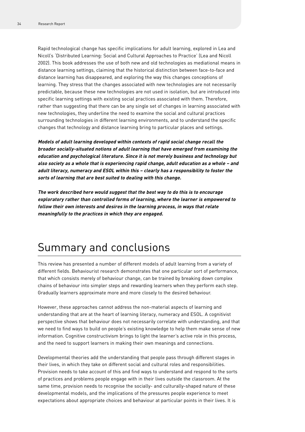Rapid technological change has specific implications for adult learning, explored in Lea and Nicoll's 'Distributed Learning: Social and Cultural Approaches to Practice' (Lea and Nicoll 2002). This book addresses the use of both new and old technologies as mediational means in distance learning settings, claiming that the historical distinction between face-to-face and distance learning has disappeared, and exploring the way this changes conceptions of learning. They stress that the changes associated with new technologies are not necessarily predictable, because these new technologies are not used in isolation, but are introduced into specific learning settings with existing social practices associated with them. Therefore, rather than suggesting that there can be any single set of changes in learning associated with new technologies, they underline the need to examine the social and cultural practices surrounding technologies in different learning environments, and to understand the specific changes that technology and distance learning bring to particular places and settings.

**Models of adult learning developed within contexts of rapid social change recall the broader socially-situated notions of adult learning that have emerged from examining the education and psychological literature. Since it is not merely business and technology but also society as a whole that is experiencing rapid change, adult education as a whole – and adult literacy, numeracy and ESOL within this – clearly has a responsibility to foster the sorts of learning that are best suited to dealing with this change.**

**The work described here would suggest that the best way to do this is to encourage exploratory rather than controlled forms of learning, where the learner is empowered to follow their own interests and desires in the learning process, in ways that relate meaningfully to the practices in which they are engaged.**

### Summary and conclusions

This review has presented a number of different models of adult learning from a variety of different fields. Behaviourist research demonstrates that one particular sort of performance, that which consists merely of behaviour change, can be trained by breaking down complex chains of behaviour into simpler steps and rewarding learners when they perform each step. Gradually learners approximate more and more closely to the desired behaviour.

However, these approaches cannot address the non-material aspects of learning and understanding that are at the heart of learning literacy, numeracy and ESOL. A cognitivist perspective shows that behaviour does not necessarily correlate with understanding, and that we need to find ways to build on people's existing knowledge to help them make sense of new information. Cognitive constructivism brings to light the learner's active role in this process, and the need to support learners in making their own meanings and connections.

Developmental theories add the understanding that people pass through different stages in their lives, in which they take on different social and cultural roles and responsibilities. Provision needs to take account of this and find ways to understand and respond to the sorts of practices and problems people engage with in their lives outside the classroom. At the same time, provision needs to recognise the socially- and culturally-shaped nature of these developmental models, and the implications of the pressures people experience to meet expectations about appropriate choices and behaviour at particular points in their lives. It is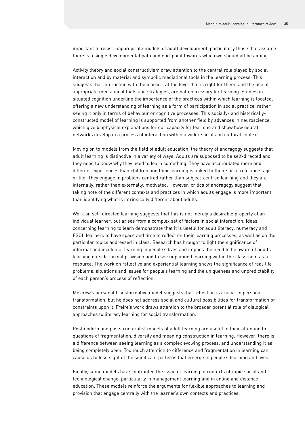important to resist inappropriate models of adult development, particularly those that assume there is a single developmental path and end-point towards which we should all be aiming.

Activity theory and social constructivism draw attention to the central role played by social interaction and by material and symbolic mediational tools in the learning process. This suggests that interaction with the learner, at the level that is right for them, and the use of appropriate mediational tools and strategies, are both necessary for learning. Studies in situated cognition underline the importance of the practices within which learning is located, offering a new understanding of learning as a form of participation in social practice, rather seeing it only in terms of behaviour or cognitive processes. This socially- and historicallyconstructed model of learning is supported from another field by advances in neuroscience, which give biophysical explanations for our capacity for learning and show how neural networks develop in a process of interaction within a wider social and cultural context.

Moving on to models from the field of adult education, the theory of andragogy suggests that adult learning is distinctive in a variety of ways. Adults are supposed to be self-directed and they need to know why they need to learn something. They have accumulated more and different experiences than children and their learning is linked to their social role and stage or life. They engage in problem-centred rather than subject-centred learning and they are internally, rather than externally, motivated. However, critics of andragogy suggest that taking note of the different contexts and practices in which adults engage is more important than identifying what is intrinsically different about adults.

Work on self-directed learning suggests that this is not merely a desirable property of an individual learner, but arises from a complex set of factors in social interaction. Ideas concerning learning to learn demonstrate that it is useful for adult literacy, numeracy and ESOL learners to have space and time to reflect on their learning processes, as well as on the particular topics addressed in class. Research has brought to light the significance of informal and incidental learning in people's lives and implies the need to be aware of adults' learning outside formal provision and to see unplanned learning within the classroom as a resource. The work on reflective and experiential learning shows the significance of real-life problems, situations and issues for people's learning and the uniqueness and unpredictability of each person's process of reflection.

Mezirow's personal transformative model suggests that reflection is crucial to personal transformation, but he does not address social and cultural possibilities for transformation or constraints upon it. Freire's work draws attention to the broader potential role of dialogical approaches to literacy learning for social transformation.

Postmodern and poststructuralist models of adult learning are useful in their attention to questions of fragmentation, diversity and meaning construction in learning. However, there is a difference between seeing learning as a complex evolving process, and understanding it as being completely open. Too much attention to difference and fragmentation in learning can cause us to lose sight of the significant patterns that emerge in people's learning and lives.

Finally, some models have confronted the issue of learning in contexts of rapid social and technological change, particularly in management learning and in online and distance education. These models reinforce the arguments for flexible approaches to learning and provision that engage centrally with the learner's own contexts and practices.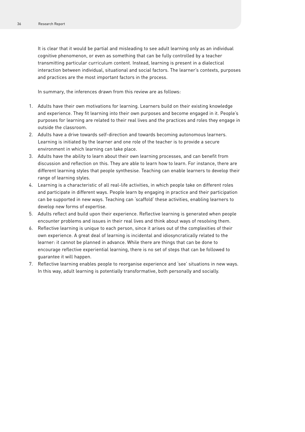It is clear that it would be partial and misleading to see adult learning only as an individual cognitive phenomenon, or even as something that can be fully controlled by a teacher transmitting particular curriculum content. Instead, learning is present in a dialectical interaction between individual, situational and social factors. The learner's contexts, purposes and practices are the most important factors in the process.

In summary, the inferences drawn from this review are as follows:

- 1. Adults have their own motivations for learning. Learners build on their existing knowledge and experience. They fit learning into their own purposes and become engaged in it. People's purposes for learning are related to their real lives and the practices and roles they engage in outside the classroom.
- 2. Adults have a drive towards self-direction and towards becoming autonomous learners. Learning is initiated by the learner and one role of the teacher is to provide a secure environment in which learning can take place.
- 3. Adults have the ability to learn about their own learning processes, and can benefit from discussion and reflection on this. They are able to learn how to learn. For instance, there are different learning styles that people synthesise. Teaching can enable learners to develop their range of learning styles.
- 4. Learning is a characteristic of all real-life activities, in which people take on different roles and participate in different ways. People learn by engaging in practice and their participation can be supported in new ways. Teaching can 'scaffold' these activities, enabling learners to develop new forms of expertise.
- 5. Adults reflect and build upon their experience. Reflective learning is generated when people encounter problems and issues in their real lives and think about ways of resolving them.
- 6. Reflective learning is unique to each person, since it arises out of the complexities of their own experience. A great deal of learning is incidental and idiosyncratically related to the learner: it cannot be planned in advance. While there are things that can be done to encourage reflective experiential learning, there is no set of steps that can be followed to guarantee it will happen.
- 7. Reflective learning enables people to reorganise experience and 'see' situations in new ways. In this way, adult learning is potentially transformative, both personally and socially.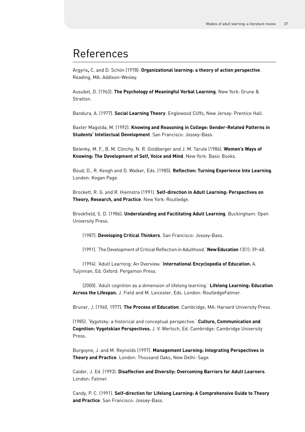### References

Argyris**,** C. and D. Schön (1978). **Organizational learning: a theory of action perspective**. Reading, MA: Addison-Wesley.

Ausubel, D. (1963). **The Psychology of Meaningful Verbal Learning**. New York: Grune & Stratton.

Bandura, A. (1977). **Social Learning Theory**. Englewood Cliffs, New Jersey: Prentice Hall.

Baxter Magolda, M. (1992). **Knowing and Reasoning in College: Gender-Related Patterns in Students' Intellectual Development**. San Francisco: Jossey-Bass.

Belenky, M. F., B. M. Clinchy, N. R. Goldberger and J. M. Tarule (1986). **Women's Ways of Knowing: The Development of Self, Voice and Mind**. New York: Basic Books.

Boud, D., R. Keogh and D. Walker, Eds. (1985). **Reflection: Turning Experience Into Learning**. London: Kogan Page.

Brockett, R. G. and R. Hiemstra (1991). **Self-direction in Adult Learning: Perspectives on Theory, Research, and Practice**. New York: Routledge.

Brookfield, S. D. (1986). **Understanding and Facilitating Adult Learning**. Buckingham: Open University Press.

(1987). **Developing Critical Thinkers**. San Francisco: Jossey-Bass.

(1991). 'The Development of Critical Reflection in Adulthood.' **New Education** 13(1): 39–48.

(1994). 'Adult Learning: An Overview.' **International Encyclopedia of Education.** A. Tuijnman, Ed. Oxford: Pergamon Press.

(2000). 'Adult cognition as a dimension of lifelong learning.' **Lifelong Learning: Education Across the Lifespan.** J. Field and M. Leicester, Eds. London: RoutledgeFalmer.

Bruner, J. (1960, 1977). **The Process of Education**. Cambridge, MA: Harvard University Press.

(1985). 'Vygotsky: a historical and conceptual perspective.' **Culture, Communication and Cognition: Vygotskian Perspectives.** J. V. Wertsch, Ed. Cambridge: Cambridge University Press.

Burgoyne, J. and M. Reynolds (1997). **Management Learning: Integrating Perspectives in Theory and Practice**. London: Thousand Oaks, New Delhi: Sage.

Calder, J. Ed. (1993). **Disaffection and Diversity: Overcoming Barriers for Adult Learners**. London: Falmer.

Candy, P. C. (1991). **Self-direction for Lifelong Learning: A Comprehensive Guide to Theory and Practice**. San Francisco: Jossey-Bass.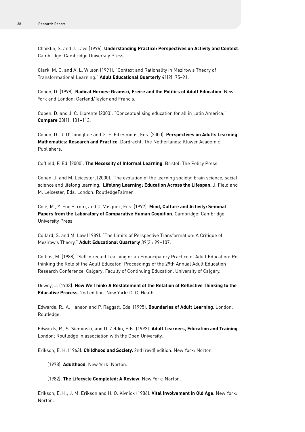Chaiklin, S. and J. Lave (1996). **Understanding Practice: Perspectives on Activity and Context**. Cambridge: Cambridge University Press.

Clark, M. C. and A. L. Wilson (1991). "Context and Rationality in Mezirow's Theory of Transformational Learning." **Adult Educational Quarterly** 41(2): 75–91.

Coben, D. (1998). **Radical Heroes: Gramsci, Freire and the Politics of Adult Education**. New York and London: Garland/Taylor and Francis.

Coben, D. and J. C. Llorente (2003). "Conceptualising education for all in Latin America." **Compare** 33(1): 101–113.

Coben, D., J. O'Donoghue and G. E. FitzSimons, Eds. (2000). **Perspectives on Adults Learning Mathematics: Research and Practice**. Dordrecht, The Netherlands: Kluwer Academic Publishers.

Coffield, F. Ed. (2000). **The Necessity of Informal Learning**. Bristol: The Policy Press.

Cohen, J. and M. Leicester, (2000). 'The evolution of the learning society: brain science, social science and lifelong learning.' **Lifelong Learning: Education Across the Lifespan.** J. Field and M. Leicester, Eds. London: RoutledgeFalmer.

Cole, M., Y. Engeström, and O. Vasquez, Eds. (1997). **Mind, Culture and Activity: Seminal Papers from the Laboratory of Comparative Human Cognition**. Cambridge: Cambridge University Press.

Collard, S. and M. Law (1989). "The Limits of Perspective Transformation: A Critique of Mezirow's Theory." **Adult Educational Quarterly** 39(2): 99–107.

Collins, M. (1988). 'Self-directed Learning or an Emancipatory Practice of Adult Education: Rethinking the Role of the Adult Educator.' Proceedings of the 29th Annual Adult Education Research Conference, Calgary: Faculty of Continuing Education, University of Calgary.

Dewey, J. (1933). **How We Think: A Restatement of the Relation of Reflective Thinking to the Educative Process**. 2nd edition. New York: D. C. Heath.

Edwards, R., A. Hanson and P. Raggatt, Eds. (1995). **Boundaries of Adult Learning**. London: Routledge.

Edwards, R., S. Sieminski, and D. Zeldin, Eds. (1993). **Adult Learners, Education and Training**. London: Routledge in association with the Open University.

Erikson, E. H. (1963). **Childhood and Society.** 2nd (revd) edition. New York: Norton.

(1978). **Adulthood**. New York: Norton.

(1982). **The Lifecycle Completed: A Review**. New York: Norton.

Erikson, E. H., J. M. Erikson and H. O. Kivnick (1986). **Vital Involvement in Old Age**. New York: Norton.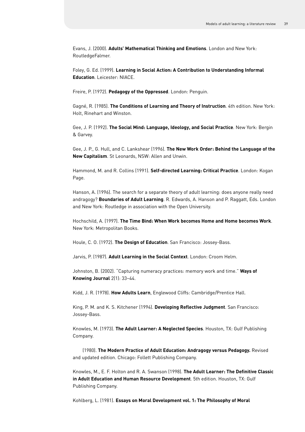Evans, J. (2000). **Adults' Mathematical Thinking and Emotions**. London and New York: RoutledgeFalmer.

Foley, G. Ed. (1999). **Learning in Social Action: A Contribution to Understanding Informal Education**. Leicester: NIACE.

Freire, P. (1972). **Pedagogy of the Oppressed**. London: Penguin.

Gagné, R. (1985). **The Conditions of Learning and Theory of Instruction**. 4th edition. New York: Holt, Rinehart and Winston.

Gee, J. P. (1992). **The Social Mind: Language, Ideology, and Social Practice**. New York: Bergin & Garvey.

Gee, J. P., G. Hull, and C. Lankshear (1996). **The New Work Order: Behind the Language of the New Capitalism**. St Leonards, NSW: Allen and Unwin.

Hammond, M. and R. Collins (1991). **Self-directed Learning: Critical Practice**. London: Kogan Page.

Hanson, A. (1996). The search for a separate theory of adult learning: does anyone really need andragogy? **Boundaries of Adult Learning**. R. Edwards, A. Hanson and P. Raggatt, Eds. London and New York: Routledge in association with the Open University.

Hochschild, A. (1997). **The Time Bind: When Work becomes Home and Home becomes Work**. New York: Metropolitan Books.

Houle, C. O. (1972). **The Design of Education**. San Francisco: Jossey-Bass.

Jarvis, P. (1987). **Adult Learning in the Social Context**. London: Croom Helm.

Johnston, B. (2002). "Capturing numeracy practices: memory work and time." **Ways of Knowing Journal** 2(1): 33–44.

Kidd, J. R. (1978). **How Adults Learn**, Englewood Cliffs: Cambridge/Prentice Hall.

King, P. M. and K. S. Kitchener (1994). **Developing Reflective Judgment**. San Francisco: Jossey-Bass.

Knowles, M. (1973). **The Adult Learner: A Neglected Species**. Houston, TX: Gulf Publishing Company.

(1980). **The Modern Practice of Adult Education: Andragogy versus Pedagogy.** Revised and updated edition. Chicago: Follett Publishing Company.

Knowles, M., E. F. Holton and R. A. Swanson (1998). **The Adult Learner: The Definitive Classic in Adult Education and Human Resource Development**. 5th edition. Houston, TX: Gulf Publishing Company.

Kohlberg, L. (1981). **Essays on Moral Development vol. 1: The Philosophy of Moral**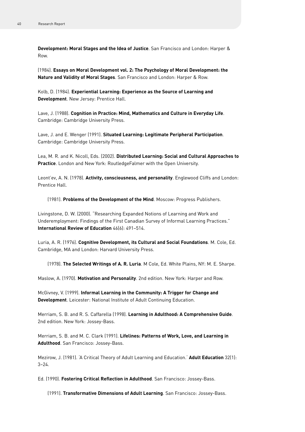**Development: Moral Stages and the Idea of Justice**. San Francisco and London: Harper & Row.

(1984). **Essays on Moral Development vol. 2: The Psychology of Moral Development: the Nature and Validity of Moral Stages**. San Francisco and London: Harper & Row.

Kolb, D. (1984). **Experiential Learning: Experience as the Source of Learning and Development**. New Jersey: Prentice Hall.

Lave, J. (1988). **Cognition in Practice: Mind, Mathematics and Culture in Everyday Life**. Cambridge: Cambridge University Press.

Lave, J. and E. Wenger (1991). **Situated Learning: Legitimate Peripheral Participation**. Cambridge: Cambridge University Press.

Lea, M. R. and K. Nicoll, Eds. (2002). **Distributed Learning: Social and Cultural Approaches to Practice**. London and New York: RoutledgeFalmer with the Open University.

Leont'ev, A. N. (1978). **Activity, consciousness, and personality**. Englewood Cliffs and London: Prentice Hall.

(1981). **Problems of the Development of the Mind**. Moscow: Progress Publishers.

Livingstone, D. W. (2000). "Researching Expanded Notions of Learning and Work and Underemployment: Findings of the First Canadian Survey of Informal Learning Practices." **International Review of Education** 46(6): 491–514.

Luria, A. R. (1976). **Cognitive Development, its Cultural and Social Foundations**. M. Cole, Ed. Cambridge, MA and London: Harvard University Press.

(1978). **The Selected Writings of A. R. Luria**. M Cole, Ed. White Plains, NY: M. E. Sharpe.

Maslow, A. (1970). **Motivation and Personality**. 2nd edition. New York: Harper and Row.

McGivney, V. (1999). **Informal Learning in the Community: A Trigger for Change and Development**. Leicester: National Institute of Adult Continuing Education.

Merriam, S. B. and R. S. Caffarella (1998). **Learning in Adulthood: A Comprehensive Guide**. 2nd edition. New York: Jossey-Bass.

Merriam, S. B. and M. C. Clark (1991). **Lifelines: Patterns of Work, Love, and Learning in Adulthood**. San Francisco: Jossey-Bass.

Mezirow, J. (1981). 'A Critical Theory of Adult Learning and Education.' **Adult Education** 32(1):  $3 - 24$ .

Ed. (1990). **Fostering Critical Reflection in Adulthood**. San Francisco: Jossey-Bass.

(1991). **Transformative Dimensions of Adult Learning**. San Francisco: Jossey-Bass.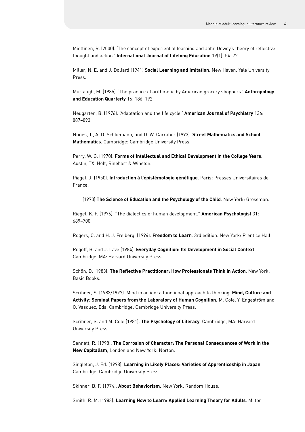Miettinen, R. (2000). 'The concept of experiential learning and John Dewey's theory of reflective thought and action.' **International Journal of Lifelong Education** 19(1): 54–72.

Miller, N. E. and J. Dollard (1941) **Social Learning and Imitation**. New Haven: Yale University Press.

Murtaugh, M. (1985). 'The practice of arithmetic by American grocery shoppers.' **Anthropology and Education Quarterly** 16: 186–192.

Neugarten, B. (1976). 'Adaptation and the life cycle.' **American Journal of Psychiatry** 136: 887–893.

Nunes, T., A. D. Schliemann, and D. W. Carraher (1993). **Street Mathematics and School Mathematics**. Cambridge: Cambridge University Press.

Perry, W. G. (1970). **Forms of Intellectual and Ethical Development in the College Years**. Austin, TX: Holt, Rinehart & Winston.

Piaget, J. (1950). **Introduction à l'épistémologie génétique**. Paris: Presses Universitaires de France.

(1970) **The Science of Education and the Psychology of the Child**. New York: Grossman.

Riegel, K. F. (1976). "The dialectics of human development." **American Psychologist** 31: 689–700.

Rogers, C. and H. J. Freiberg, (1994). **Freedom to Learn**. 3rd edition. New York: Prentice Hall.

Rogoff, B. and J. Lave (1984). **Everyday Cognition: Its Development in Social Context**. Cambridge, MA: Harvard University Press.

Schön, D. (1983). **The Reflective Practitioner: How Professionals Think in Action**. New York: Basic Books.

Scribner, S. (1983/1997). Mind in action: a functional approach to thinking. **Mind, Culture and Activity: Seminal Papers from the Laboratory of Human Cognition.** M. Cole, Y. Engeström and O. Vasquez, Eds. Cambridge: Cambridge University Press.

Scribner, S. and M. Cole (1981). **The Psychology of Literacy**, Cambridge, MA: Harvard University Press.

Sennett, R. (1998). **The Corrosion of Character: The Personal Consequences of Work in the New Capitalism**, London and New York: Norton.

Singleton, J. Ed. (1998). **Learning in Likely Places: Varieties of Apprenticeship in Japan**. Cambridge: Cambridge University Press.

Skinner, B. F. (1974). **About Behaviorism**. New York: Random House.

Smith, R. M. (1983). **Learning How to Learn: Applied Learning Theory for Adults**. Milton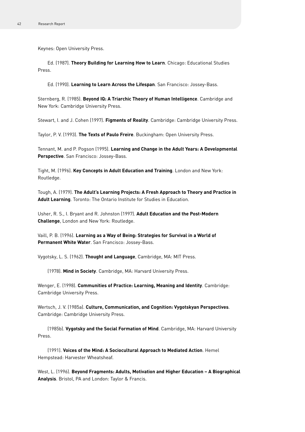Keynes: Open University Press.

Ed. (1987). **Theory Building for Learning How to Learn**. Chicago: Educational Studies Press.

Ed. (1990). **Learning to Learn Across the Lifespan**. San Francisco: Jossey-Bass.

Sternberg, R. (1985). **Beyond IQ: A Triarchic Theory of Human Intelligence**. Cambridge and New York: Cambridge University Press.

Stewart, I. and J. Cohen (1997). **Figments of Reality**. Cambridge: Cambridge University Press.

Taylor, P. V. (1993). **The Texts of Paulo Freire**. Buckingham: Open University Press.

Tennant, M. and P. Pogson (1995). **Learning and Change in the Adult Years: A Developmental Perspective**. San Francisco: Jossey-Bass.

Tight, M. (1996). **Key Concepts in Adult Education and Training**. London and New York: Routledge.

Tough, A. (1979). **The Adult's Learning Projects: A Fresh Approach to Theory and Practice in Adult Learning**. Toronto: The Ontario Institute for Studies in Education.

Usher, R. S., I. Bryant and R. Johnston (1997). **Adult Education and the Post-Modern Challenge**, London and New York: Routledge.

Vaill, P. B. (1996). **Learning as a Way of Being: Strategies for Survival in a World of Permanent White Water**. San Francisco: Jossey-Bass.

Vygotsky, L. S. (1962). **Thought and Language**, Cambridge, MA: MIT Press.

(1978). **Mind in Society**. Cambridge, MA: Harvard University Press.

Wenger, E. (1998). **Communities of Practice: Learning, Meaning and Identity**. Cambridge: Cambridge University Press.

Wertsch, J. V. (1985a). **Culture, Communication, and Cognition: Vygotskyan Perspectives**. Cambridge: Cambridge University Press.

(1985b). **Vygotsky and the Social Formation of Mind**. Cambridge, MA: Harvard University Press.

(1991). **Voices of the Mind: A Sociocultural Approach to Mediated Action**. Hemel Hempstead: Harvester Wheatsheaf.

West, L. (1996). **Beyond Fragments: Adults, Motivation and Higher Education – A Biographical Analysis**. Bristol, PA and London: Taylor & Francis.